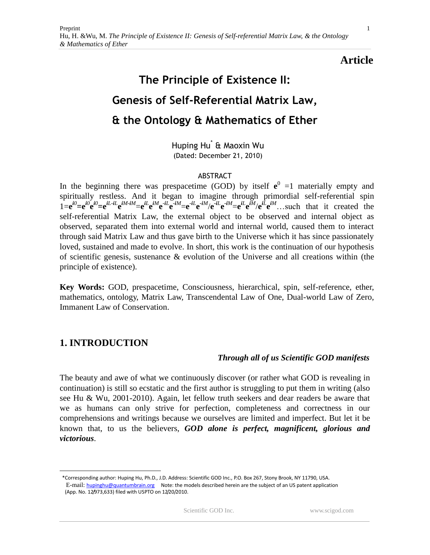# **Article**

# **The Principle of Existence II: Genesis of Self-Referential Matrix Law, & the Ontology & Mathematics of Ether**

Huping Hu\* & Maoxin Wu (Dated: December 21, 2010)

#### ABSTRACT

In the beginning there was prespacetime (GOD) by itself  $e^0 = 1$  materially empty and spiritually restless. And it began to imagine through primordial self-referential spin  $1 = e^{i\theta} = e^{i\theta}e^{i\theta} = e^{iL \cdot iL}e^{iM \cdot iM} = e^{iL}e^{iM}e^{-iL}e^{-iM} = e^{iL}e^{-iM}e^{-iL}e^{-iM} = e^{iL}e^{iM}/e^{iL}e^{iM}$ ... such that it created the self-referential Matrix Law, the external object to be observed and internal object as observed, separated them into external world and internal world, caused them to interact through said Matrix Law and thus gave birth to the Universe which it has since passionately loved, sustained and made to evolve. In short, this work is the continuation of our hypothesis of scientific genesis, sustenance  $\&$  evolution of the Universe and all creations within (the principle of existence).

**Key Words:** GOD, prespacetime, Consciousness, hierarchical, spin, self-reference, ether, mathematics, ontology, Matrix Law, Transcendental Law of One, Dual-world Law of Zero, Immanent Law of Conservation.

# **1. INTRODUCTION**

 $\overline{a}$ 

#### *Through all of us Scientific GOD manifests*

The beauty and awe of what we continuously discover (or rather what GOD is revealing in continuation) is still so ecstatic and the first author is struggling to put them in writing (also see Hu & Wu, 2001-2010). Again, let fellow truth seekers and dear readers be aware that we as humans can only strive for perfection, completeness and correctness in our comprehensions and writings because we ourselves are limited and imperfect. But let it be known that, to us the believers, *GOD alone is perfect, magnificent, glorious and victorious*.

1

 <sup>\*</sup>Corresponding author: Huping Hu, Ph.D., J.D. Address: Scientific GOD Inc., P.O. Box 267, Stony Brook, NY 11790, USA. E-mail: [hupinghu@quantumbrain.org](mailto:hupinghu@quantumbrain.org) Note: the models described herein are the subject of an US patent application (App. No. 12/973,633) filed with USPTO on 12/20/2010.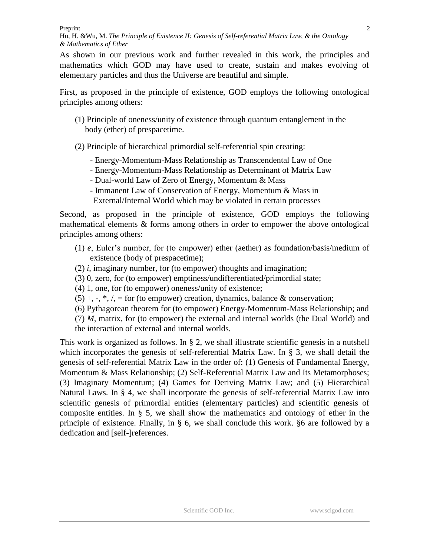As shown in our previous work and further revealed in this work, the principles and mathematics which GOD may have used to create, sustain and makes evolving of elementary particles and thus the Universe are beautiful and simple.

First, as proposed in the principle of existence, GOD employs the following ontological principles among others:

- (1) Principle of oneness/unity of existence through quantum entanglement in the body (ether) of prespacetime.
- (2) Principle of hierarchical primordial self-referential spin creating:
	- Energy-Momentum-Mass Relationship as Transcendental Law of One
	- Energy-Momentum-Mass Relationship as Determinant of Matrix Law
	- Dual-world Law of Zero of Energy, Momentum & Mass
	- Immanent Law of Conservation of Energy, Momentum & Mass in
	- External/Internal World which may be violated in certain processes

Second, as proposed in the principle of existence, GOD employs the following mathematical elements & forms among others in order to empower the above ontological principles among others:

- (1) *e*, Euler's number, for (to empower) ether (aether) as foundation/basis/medium of existence (body of prespacetime);
- (2) *i*, imaginary number, for (to empower) thoughts and imagination;
- (3) 0, zero, for (to empower) emptiness/undifferentiated/primordial state;
- (4) 1, one, for (to empower) oneness/unity of existence;
- $(5) +$ ,  $\cdot$ ,  $\cdot$ ,  $\cdot$ ,  $\cdot$  = for (to empower) creation, dynamics, balance & conservation;
- (6) Pythagorean theorem for (to empower) Energy-Momentum-Mass Relationship; and

(7) *M*, matrix, for (to empower) the external and internal worlds (the Dual World) and

the interaction of external and internal worlds.

This work is organized as follows. In § 2, we shall illustrate scientific genesis in a nutshell which incorporates the genesis of self-referential Matrix Law. In § 3, we shall detail the genesis of self-referential Matrix Law in the order of: (1) Genesis of Fundamental Energy, Momentum & Mass Relationship; (2) Self-Referential Matrix Law and Its Metamorphoses; (3) Imaginary Momentum; (4) Games for Deriving Matrix Law; and (5) Hierarchical Natural Laws. In § 4, we shall incorporate the genesis of self-referential Matrix Law into scientific genesis of primordial entities (elementary particles) and scientific genesis of composite entities. In § 5, we shall show the mathematics and ontology of ether in the principle of existence. Finally, in § 6, we shall conclude this work. §6 are followed by a dedication and [self-]references.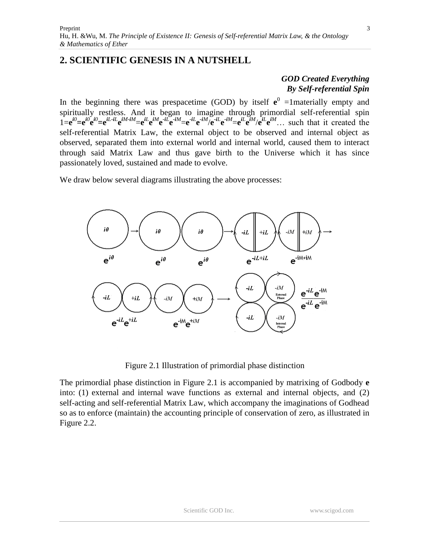# **2. SCIENTIFIC GENESIS IN A NUTSHELL**

### *GOD Created Everything By Self-referential Spin*

In the beginning there was prespacetime (GOD) by itself  $e^0$  =1materially empty and spiritually restless. And it began to imagine through primordial self-referential spin  $1 = e^{i\theta} = e^{i\theta} e^{i\theta} = e^{iL \cdot iL} e^{iM \cdot iM} = e^{iL} e^{iM} e^{-iL} e^{-iM} = e^{iL} e^{-iM} e^{-iL} e^{-iM} = e^{iL} e^{iM} e^{iL} e^{iM}$ ... such that it created the self-referential Matrix Law, the external object to be observed and internal object as observed, separated them into external world and internal world, caused them to interact through said Matrix Law and thus gave birth to the Universe which it has since passionately loved, sustained and made to evolve.

We draw below several diagrams illustrating the above processes:



Figure 2.1 Illustration of primordial phase distinction

The primordial phase distinction in Figure 2.1 is accompanied by matrixing of Godbody **e** into: (1) external and internal wave functions as external and internal objects, and (2) self-acting and self-referential Matrix Law, which accompany the imaginations of Godhead so as to enforce (maintain) the accounting principle of conservation of zero, as illustrated in Figure 2.2.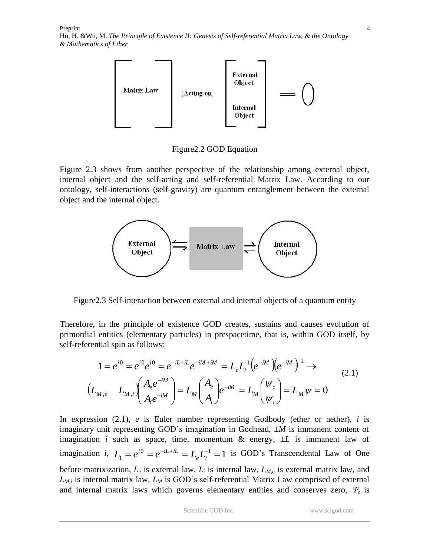

Figure2.2 GOD Equation

Figure 2.3 shows from another perspective of the relationship among external object, internal object and the self-acting and self-referential Matrix Law. According to our ontology, self-interactions (self-gravity) are quantum entanglement between the external object and the internal object.



Figure2.3 Self-interaction between external and internal objects of a quantum entity

Therefore, in the principle of existence GOD creates, sustains and causes evolution of primordial entities (elementary particles) in prespacetime, that is, within GOD itself, by self-referential spin as follows:

$$
1 = e^{i0} = e^{i0} e^{i0} = e^{-iL + iL} e^{-iM + iM} = L_e L_i^{-1} (e^{-iM}) (e^{-iM})^{-1} \rightarrow
$$
  
\n
$$
(L_{M,e} L_{M,i}) (A_e e^{-iM}) = L_M (A_e) e^{-iM} = L_M (V_e) = L_M V = 0
$$
  
\n(2.1)

In expression (2.1), *e* is Euler number representing Godbody (ether or aether), *i* is imaginary unit representing GOD's imagination in Godhead, ±*M* is immanent content of imagination *i* such as space, time, momentum  $\&$  energy,  $\pm L$  is immanent law of imagination *i*,  $L_1 = e^{i0} = e^{-iL + iL} = L_e L_i^{-1} = 1$  $L_1 = e^{i0} = e^{-iL + iL} = L_e L_i^{-1} = 1$  is GOD's Transcendental Law of One before matrixization, *L<sup>e</sup>* is external law, *L<sup>i</sup>* is internal law, *LM,e* is external matrix law, and *LM,i* is internal matrix law, *L<sup>M</sup>* is GOD's self-referential Matrix Law comprised of external and internal matrix laws which governs elementary entities and conserves zero,  $\Psi_e$  is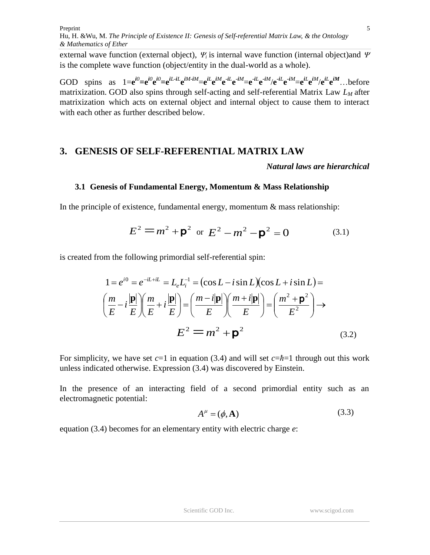external wave function (external object),  $\mathbf{Y}_i$  is internal wave function (internal object)and  $\mathbf{\Psi}$ is the complete wave function (object/entity in the dual-world as a whole).

GOD spins as  $1 = e^{i\theta} = e^{i\theta} e^{i\theta} = e^{iL \cdot iL} e^{iM \cdot iM} = e^{iL} e^{iM} e^{-iL} e^{-iM} = e^{iL} e^{-iM} / e^{-iL} e^{-iM} = e^{iL} e^{iM} / e^{iL} e^{iM}$ ... before matrixization. GOD also spins through self-acting and self-referential Matrix Law *L<sup>M</sup>* after matrixization which acts on external object and internal object to cause them to interact with each other as further described below.

## **3. GENESIS OF SELF-REFERENTIAL MATRIX LAW**

*Natural laws are hierarchical*

#### **3.1 Genesis of Fundamental Energy, Momentum & Mass Relationship**

In the principle of existence, fundamental energy, momentum  $\&$  mass relationship:

$$
E^{2} = m^{2} + \mathbf{p}^{2} \text{ or } E^{2} - m^{2} - \mathbf{p}^{2} = 0
$$
 (3.1)

is created from the following primordial self-referential spin:

$$
1 = e^{i0} = e^{-iL+iL} = L_e L_i^{-1} = (\cos L - i \sin L)(\cos L + i \sin L) =
$$

$$
\left(\frac{m}{E} - i\frac{|\mathbf{p}|}{E}\right) \left(\frac{m}{E} + i\frac{|\mathbf{p}|}{E}\right) = \left(\frac{m - i|\mathbf{p}|}{E}\right) \left(\frac{m + i|\mathbf{p}|}{E}\right) = \left(\frac{m^2 + \mathbf{p}^2}{E^2}\right) \rightarrow
$$

$$
E^2 = m^2 + \mathbf{p}^2
$$
(3.2)

For simplicity, we have set *c*=1 in equation (3.4) and will set *c*=*ħ*=1 through out this work unless indicated otherwise. Expression (3.4) was discovered by Einstein.

In the presence of an interacting field of a second primordial entity such as an electromagnetic potential:

$$
A^{\mu} = (\phi, \mathbf{A}) \tag{3.3}
$$

equation (3.4) becomes for an elementary entity with electric charge *e*: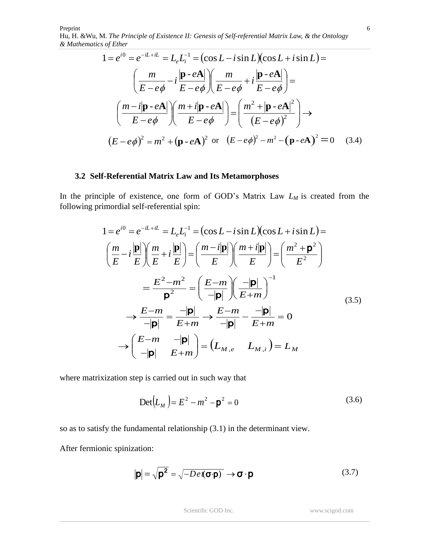$$
1 = e^{i0} = e^{-iL + iL} = L_e L_i^{-1} = (\cos L - i \sin L)(\cos L + i \sin L) =
$$

$$
\left(\frac{m}{E - e\phi} - i\frac{|\mathbf{p} - e\mathbf{A}|}{E - e\phi}\right)\left(\frac{m}{E - e\phi} + i\frac{|\mathbf{p} - e\mathbf{A}|}{E - e\phi}\right) =
$$

$$
\left(\frac{m - i|\mathbf{p} - e\mathbf{A}|}{E - e\phi}\right)\left(\frac{m + i|\mathbf{p} - e\mathbf{A}|}{E - e\phi}\right) = \left(\frac{m^2 + |\mathbf{p} - e\mathbf{A}|^2}{(E - e\phi)^2}\right) \rightarrow
$$

$$
(E - e\phi)^2 = m^2 + (\mathbf{p} - e\mathbf{A})^2 \text{ or } (E - e\phi)^2 - m^2 - (\mathbf{p} - e\mathbf{A})^2 = 0 \quad (3.4)
$$

#### **3.2 Self-Referential Matrix Law and Its Metamorphoses**

In the principle of existence, one form of GOD's Matrix Law *L<sup>M</sup>* is created from the following primordial self-referential spin:

$$
1 = e^{i0} = e^{-iL+iL} = L_e L_i^{-1} = (\cos L - i \sin L)(\cos L + i \sin L) =
$$
\n
$$
\left(\frac{m}{E} - i\frac{|\mathbf{p}|}{E}\right) \left(\frac{m}{E} + i\frac{|\mathbf{p}|}{E}\right) = \left(\frac{m - i|\mathbf{p}|}{E}\right) \left(\frac{m + i|\mathbf{p}|}{E}\right) = \left(\frac{m^2 + \mathbf{p}^2}{E^2}\right)
$$
\n
$$
= \frac{E^2 - m^2}{\mathbf{p}^2} = \left(\frac{E - m}{-|\mathbf{p}|}\right) \left(\frac{-|\mathbf{p}|}{E + m}\right)^{-1}
$$
\n
$$
\rightarrow \frac{E - m}{-|\mathbf{p}|} = \frac{-|\mathbf{p}|}{E + m} \rightarrow \frac{E - m}{-|\mathbf{p}|} - \frac{-|\mathbf{p}|}{E + m} = 0
$$
\n
$$
\rightarrow \left(\frac{E - m}{-|\mathbf{p}|} - \frac{|\mathbf{p}|}{E + m}\right) = \left(L_{M,e} - L_{M,i}\right) = L_M
$$
\n(3.5)

where matrixization step is carried out in such way that

$$
Det(L_M) = E^2 - m^2 - p^2 = 0
$$
 (3.6)

so as to satisfy the fundamental relationship (3.1) in the determinant view.

After fermionic spinization:

$$
|\mathbf{p}| = \sqrt{\mathbf{p}^2} = \sqrt{-De(\mathbf{\sigma}\cdot\mathbf{p})} \rightarrow \mathbf{\sigma}\cdot\mathbf{p}
$$
 (3.7)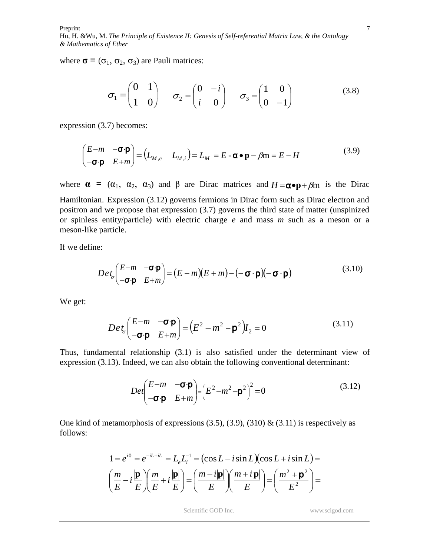where  $\sigma = (\sigma_1, \sigma_2, \sigma_3)$  are Pauli matrices:

$$
\sigma_1 = \begin{pmatrix} 0 & 1 \\ 1 & 0 \end{pmatrix} \qquad \sigma_2 = \begin{pmatrix} 0 & -i \\ i & 0 \end{pmatrix} \qquad \sigma_3 = \begin{pmatrix} 1 & 0 \\ 0 & -1 \end{pmatrix} \tag{3.8}
$$

expression (3.7) becomes:

$$
\begin{pmatrix} E-m & -\sigma \cdot \mathbf{p} \\ -\sigma \cdot \mathbf{p} & E+m \end{pmatrix} = \begin{pmatrix} L_{M,e} & L_{M,i} \end{pmatrix} = L_M = E - \mathbf{\alpha} \cdot \mathbf{p} - \beta m = E - H \tag{3.9}
$$

where  $\alpha = (\alpha_1, \alpha_2, \alpha_3)$  and  $\beta$  are Dirac matrices and  $H = \alpha \cdot p + \beta m$  is the Dirac Hamiltonian. Expression (3.12) governs fermions in Dirac form such as Dirac electron and positron and we propose that expression (3.7) governs the third state of matter (unspinized or spinless entity/particle) with electric charge *e* and mass *m* such as a meson or a meson-like particle.

If we define:

$$
Det_{\sigma}\left(\begin{matrix} E-m & -\sigma \cdot \mathbf{p} \\ -\sigma \cdot \mathbf{p} & E+m \end{matrix}\right) = (E-m)(E+m) - (-\sigma \cdot \mathbf{p})(-\sigma \cdot \mathbf{p})
$$
(3.10)

We get:

$$
Det_{\sigma}\left(\begin{matrix} E-m & -\sigma \cdot \mathbf{p} \\ -\sigma \cdot \mathbf{p} & E+m \end{matrix}\right) = \left(E^2 - m^2 - \mathbf{p}^2\right)I_2 = 0 \tag{3.11}
$$

Thus, fundamental relationship (3.1) is also satisfied under the determinant view of expression (3.13). Indeed, we can also obtain the following conventional determinant:

$$
Det \begin{pmatrix} E-m & -\sigma \cdot \mathbf{p} \\ -\sigma \cdot \mathbf{p} & E+m \end{pmatrix} = \left( E^2 - m^2 - \mathbf{p}^2 \right)^2 = 0 \tag{3.12}
$$

One kind of metamorphosis of expressions  $(3.5)$ ,  $(3.9)$ ,  $(310)$  &  $(3.11)$  is respectively as follows:

$$
1 = e^{i0} = e^{-iL+iL} = L_e L_i^{-1} = (\cos L - i \sin L)(\cos L + i \sin L) =
$$

$$
\left(\frac{m}{E} - i\frac{|\mathbf{p}|}{E}\right)\left(\frac{m}{E} + i\frac{|\mathbf{p}|}{E}\right) = \left(\frac{m - i|\mathbf{p}|}{E}\right)\left(\frac{m + i|\mathbf{p}|}{E}\right) = \left(\frac{m^2 + \mathbf{p}^2}{E^2}\right) =
$$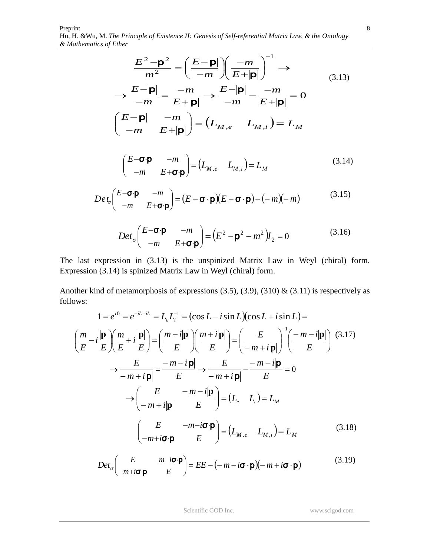Preprint Hu, H. &Wu*,* M. *The Principle of Existence II: Genesis of Self-referential Matrix Law, & the Ontology & Mathematics of Ether*

$$
\frac{E^2 - \mathbf{p}^2}{m^2} = \left(\frac{E - |\mathbf{p}|}{-m}\right)\left(\frac{-m}{E + |\mathbf{p}|}\right)^{-1} \rightarrow
$$
\n
$$
\rightarrow \frac{E - |\mathbf{p}|}{-m} = \frac{-m}{E + |\mathbf{p}|} \rightarrow \frac{E - |\mathbf{p}|}{-m} - \frac{-m}{E + |\mathbf{p}|} = 0
$$
\n
$$
\left(\frac{E - |\mathbf{p}|}{-m} - \frac{-m}{E + |\mathbf{p}|}\right) = \left(L_{M,e} - L_{M,i}\right) = L_M
$$
\n(3.13)

$$
\begin{pmatrix} E-\mathbf{\sigma}\cdot\mathbf{p} & -m \\ -m & E+\mathbf{\sigma}\cdot\mathbf{p} \end{pmatrix} = \begin{pmatrix} L_{M,e} & L_{M,i} \end{pmatrix} = L_M \tag{3.14}
$$

$$
Det_{\sigma}\left(\begin{array}{cc}\nE-\sigma\cdot\mathbf{p} & -m \\
-m & E+\sigma\cdot\mathbf{p}\n\end{array}\right) = (E-\sigma\cdot\mathbf{p})(E+\sigma\cdot\mathbf{p}) - (-m)(-m) \tag{3.15}
$$

$$
Det_{\sigma}\left(\begin{matrix} E-\sigma\cdot\mathbf{p} & -m \\ -m & E+\sigma\cdot\mathbf{p} \end{matrix}\right) = \left(E^2 - \mathbf{p}^2 - m^2\right)I_2 = 0 \tag{3.16}
$$

The last expression in (3.13) is the unspinized Matrix Law in Weyl (chiral) form. Expression (3.14) is spinized Matrix Law in Weyl (chiral) form.

Another kind of metamorphosis of expressions (3.5), (3.9), (310) & (3.11) is respectively as follows:

$$
1 = e^{i0} = e^{-iL+iL} = L_e L_i^{-1} = (\cos L - i \sin L)(\cos L + i \sin L) =
$$
\n
$$
\left(\frac{m}{E} - i\frac{|\mathbf{p}|}{E}\right) \left(\frac{m}{E} + i\frac{|\mathbf{p}|}{E}\right) = \left(\frac{m - i|\mathbf{p}|}{E}\right) \left(\frac{m + i|\mathbf{p}|}{E}\right) = \left(\frac{E}{-m + i|\mathbf{p}|}\right)^{-1} \left(\frac{-m - i|\mathbf{p}|}{E}\right) \tag{3.17}
$$
\n
$$
\rightarrow \frac{E}{-m + i|\mathbf{p}|} = \frac{-m - i|\mathbf{p}|}{E} \rightarrow \frac{E}{-m + i|\mathbf{p}|} = \frac{-m - i|\mathbf{p}|}{E} = 0
$$
\n
$$
\rightarrow \left(\frac{E}{-m + i|\mathbf{p}|} - \frac{m - i|\mathbf{p}|}{E}\right) = (L_e - L_i) = L_M
$$
\n
$$
\left(\frac{E}{-m + i\sigma \cdot \mathbf{p}} - \frac{m - i\sigma \cdot \mathbf{p}}{E}\right) = (L_{M,e} - L_{M,i}) = L_M \tag{3.18}
$$

$$
Det_{\sigma}\left(\begin{array}{cc} E & -m-i\sigma\cdot\mathbf{p} \\ -m+i\sigma\cdot\mathbf{p} & E \end{array}\right) = EE - (-m-i\sigma\cdot\mathbf{p})(-m+i\sigma\cdot\mathbf{p})
$$
(3.19)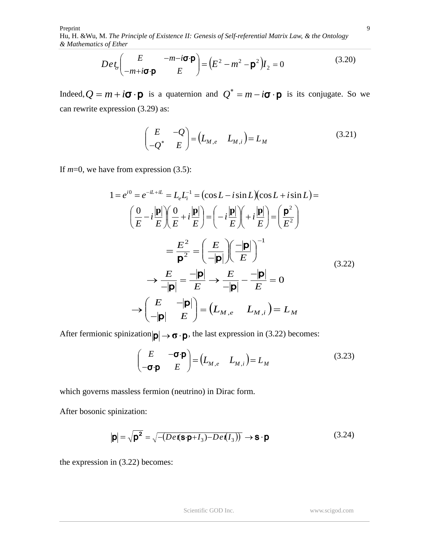$$
Det_{\sigma}\left(\begin{array}{cc} E & -m-i\sigma \cdot \mathbf{p} \\ -m+i\sigma \cdot \mathbf{p} & E \end{array}\right) = \left(E^2 - m^2 - \mathbf{p}^2\right)I_2 = 0 \tag{3.20}
$$

Indeed,  $Q = m + i\sigma \cdot \mathbf{p}$  is a quaternion and  $Q^* = m - i\sigma \cdot \mathbf{p}$  is its conjugate. So we can rewrite expression (3.29) as:

$$
\begin{pmatrix} E & -Q \ -Q^* & E \end{pmatrix} = \begin{pmatrix} L_{M,e} & L_{M,i} \end{pmatrix} = L_M \tag{3.21}
$$

If *m*=0, we have from expression (3.5):

$$
1 = e^{i0} = e^{-iL + iL} = L_e L_i^{-1} = (\cos L - i \sin L)(\cos L + i \sin L) =
$$
  
\n
$$
\left(\frac{0}{E} - i\frac{|\mathbf{p}|}{E}\right) \left(\frac{0}{E} + i\frac{|\mathbf{p}|}{E}\right) = \left(-i\frac{|\mathbf{p}|}{E}\right) \left(+i\frac{|\mathbf{p}|}{E}\right) = \left(\frac{\mathbf{p}^2}{E^2}\right)
$$
  
\n
$$
= \frac{E^2}{\mathbf{p}^2} = \left(\frac{E}{-|\mathbf{p}|}\right) \left(\frac{-|\mathbf{p}|}{E}\right)^{-1}
$$
  
\n
$$
\rightarrow \frac{E}{-|\mathbf{p}|} = \frac{-|\mathbf{p}|}{E} \rightarrow \frac{E}{-|\mathbf{p}|} - \frac{-|\mathbf{p}|}{E} = 0
$$
  
\n
$$
\rightarrow \left(\frac{E}{-|\mathbf{p}|} - \frac{|\mathbf{p}|}{E}\right) = \left(L_{M,e} - L_{M,i}\right) = L_M
$$
  
\n(3.22)

After fermionic spinization  $|\mathbf{p}| \to \mathbf{\sigma} \cdot \mathbf{p}$ , the last expression in (3.22) becomes:

$$
\begin{pmatrix} E & -\boldsymbol{\sigma} \cdot \boldsymbol{\rho} \\ -\boldsymbol{\sigma} \cdot \boldsymbol{\rho} & E \end{pmatrix} = \begin{pmatrix} L_{M,e} & L_{M,i} \end{pmatrix} = L_M \tag{3.23}
$$

which governs massless fermion (neutrino) in Dirac form.

After bosonic spinization:

$$
|\mathbf{p}| = \sqrt{\mathbf{p}^2} = \sqrt{-\left(De\mathbf{I}(\mathbf{s}\cdot\mathbf{p} + I_3) - De\mathbf{I}(I_3)\right)} \rightarrow \mathbf{s} \cdot \mathbf{p}
$$
\n(3.24)

the expression in (3.22) becomes: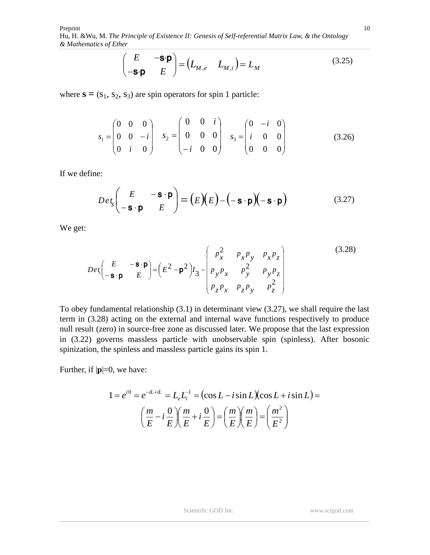$$
\begin{pmatrix} E & -\mathbf{S} \cdot \mathbf{p} \\ -\mathbf{S} \cdot \mathbf{p} & E \end{pmatrix} = \begin{pmatrix} L_{M,e} & L_{M,i} \end{pmatrix} = L_M \tag{3.25}
$$

where  $\mathbf{s} = (s_1, s_2, s_3)$  are spin operators for spin 1 particle:

$$
s_1 = \begin{pmatrix} 0 & 0 & 0 \\ 0 & 0 & -i \\ 0 & i & 0 \end{pmatrix} \quad s_2 = \begin{pmatrix} 0 & 0 & i \\ 0 & 0 & 0 \\ -i & 0 & 0 \end{pmatrix} \quad s_3 = \begin{pmatrix} 0 & -i & 0 \\ i & 0 & 0 \\ 0 & 0 & 0 \end{pmatrix}
$$
(3.26)

If we define:

$$
Det_{s}\begin{pmatrix} E & -\mathbf{s} \cdot \mathbf{p} \\ -\mathbf{s} \cdot \mathbf{p} & E \end{pmatrix} = (E)(E) - (-\mathbf{s} \cdot \mathbf{p})(-\mathbf{s} \cdot \mathbf{p}) \tag{3.27}
$$

We get:

$$
Det_s \begin{pmatrix} E & -\mathbf{s} \cdot \mathbf{p} \\ -\mathbf{s} \cdot \mathbf{p} & E \end{pmatrix} = \begin{pmatrix} E^2 - \mathbf{p}^2 \end{pmatrix} I_3 - \begin{pmatrix} p_x^2 & p_x p_y & p_x p_z \\ p_y p_x & p_y^2 & p_y p_z \\ p_z p_x & p_z p_y & p_z^2 \end{pmatrix}
$$
(3.28)

To obey fundamental relationship (3.1) in determinant view (3.27), we shall require the last term in (3.28) acting on the external and internal wave functions respectively to produce null result (zero) in source-free zone as discussed later. We propose that the last expression in (3.22) governs massless particle with unobservable spin (spinless). After bosonic spinization, the spinless and massless particle gains its spin 1.

Further, if  $|\mathbf{p}|=0$ , we have:

$$
1 = e^{i0} = e^{-iL+iL} = L_e L_i^{-1} = (\cos L - i \sin L)(\cos L + i \sin L) =
$$

$$
\left(\frac{m}{E} - i\frac{0}{E}\right)\left(\frac{m}{E} + i\frac{0}{E}\right) = \left(\frac{m}{E}\right)\left(\frac{m}{E}\right) = \left(\frac{m^2}{E^2}\right)
$$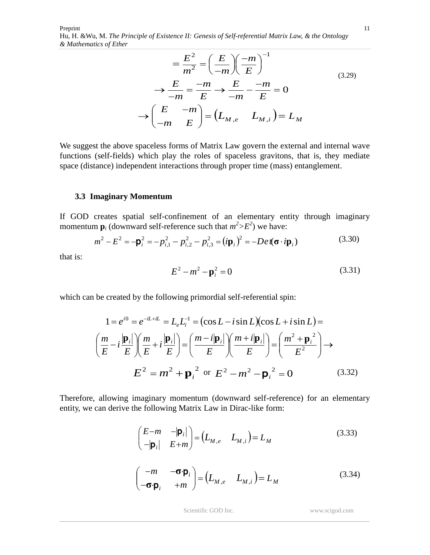$$
= \frac{E^2}{m^2} = \left(\frac{E}{-m}\right)\left(\frac{-m}{E}\right)^{-1}
$$
  
\n
$$
\rightarrow \frac{E}{-m} = \frac{-m}{E} \rightarrow \frac{E}{-m} - \frac{-m}{E} = 0
$$
  
\n
$$
\rightarrow \left(\frac{E}{-m} - \frac{m}{E}\right) = \left(L_{M,e} - L_{M,i}\right) = L_M
$$
 (3.29)

We suggest the above spaceless forms of Matrix Law govern the external and internal wave functions (self-fields) which play the roles of spaceless gravitons, that is, they mediate space (distance) independent interactions through proper time (mass) entanglement.

#### **3.3 Imaginary Momentum**

If GOD creates spatial self-confinement of an elementary entity through imaginary momentum  $\mathbf{p}_i$  (downward self-reference such that  $m^2 > E^2$ ) we have:

$$
m^{2} - E^{2} = -\mathbf{p}_{i}^{2} = -p_{i,1}^{2} - p_{i,2}^{2} - p_{i,3}^{2} = (i\mathbf{p}_{i})^{2} = -De\mathbf{f}(\mathbf{\sigma} \cdot i\mathbf{p}_{i})
$$
(3.30)

that is:

$$
E^2 - m^2 - \mathbf{p}_i^2 = 0 \tag{3.31}
$$

which can be created by the following primordial self-referential spin:

$$
1 = e^{i0} = e^{-iL+iL} = L_e L_i^{-1} = (\cos L - i \sin L)(\cos L + i \sin L) =
$$

$$
\left(\frac{m}{E} - i\frac{|\mathbf{p}_i|}{E}\right)\left(\frac{m}{E} + i\frac{|\mathbf{p}_i|}{E}\right) = \left(\frac{m - i|\mathbf{p}_i|}{E}\right)\left(\frac{m + i|\mathbf{p}_i|}{E}\right) = \left(\frac{m^2 + \mathbf{p}_i^2}{E^2}\right) \rightarrow
$$

$$
E^2 = m^2 + \mathbf{p}_i^2 \text{ or } E^2 - m^2 - \mathbf{p}_i^2 = 0 \qquad (3.32)
$$

Therefore, allowing imaginary momentum (downward self-reference) for an elementary entity, we can derive the following Matrix Law in Dirac-like form:

$$
\begin{pmatrix}\nE-m & -|\mathbf{p}_i| \\
-|\mathbf{p}_i| & E+m\n\end{pmatrix} = \begin{pmatrix}\nL_{M,e} & L_{M,i}\n\end{pmatrix} = L_M
$$
\n(3.33)\n
$$
\begin{pmatrix}\n-m & -\sigma \cdot \mathbf{p}_i \\
-\sigma \cdot \mathbf{p}_i & +m\n\end{pmatrix} = \begin{pmatrix}\nL_{M,e} & L_{M,i}\n\end{pmatrix} = L_M
$$
\n(3.34)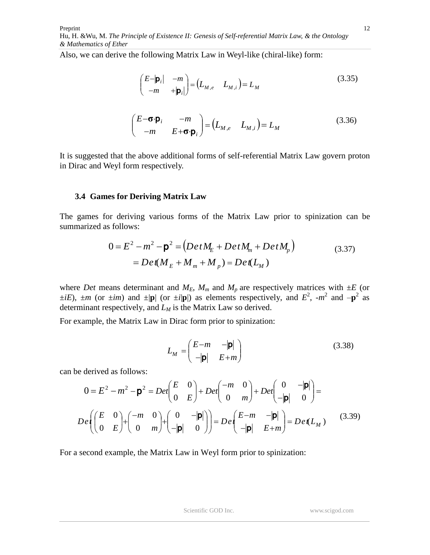Also, we can derive the following Matrix Law in Weyl-like (chiral-like) form:

$$
\begin{pmatrix} E-|\mathbf{p}_i| & -m \\ -m & +|\mathbf{p}_i| \end{pmatrix} = \begin{pmatrix} L_{M,e} & L_{M,i} \end{pmatrix} = L_M \tag{3.35}
$$

$$
\begin{pmatrix} E-\mathbf{\sigma}\cdot\mathbf{p}_i & -m \\ -m & E+\mathbf{\sigma}\cdot\mathbf{p}_i \end{pmatrix} = \begin{pmatrix} L_{M,e} & L_{M,i} \end{pmatrix} = L_M \tag{3.36}
$$

It is suggested that the above additional forms of self-referential Matrix Law govern proton in Dirac and Weyl form respectively.

#### **3.4 Games for Deriving Matrix Law**

The games for deriving various forms of the Matrix Law prior to spinization can be summarized as follows:

$$
0 = E2 - m2 - \mathbf{p}2 = (Det ME + Det Mm + Det Mp)
$$
  
= Det(M<sub>E</sub> + M<sub>m</sub> + M<sub>p</sub>) = Det(L<sub>M</sub>) (3.37)

where *Det* means determinant and  $M_E$ ,  $M_m$  and  $M_p$  are respectively matrices with  $\pm E$  (or  $\pm iE$ ),  $\pm m$  (or  $\pm im$ ) and  $\pm |\mathbf{p}|$  (or  $\pm i|\mathbf{p}|$ ) as elements respectively, and  $E^2$ ,  $\pm m^2$  and  $-\mathbf{p}^2$  as determinant respectively, and *L<sup>M</sup>* is the Matrix Law so derived.

For example, the Matrix Law in Dirac form prior to spinization:

$$
L_M = \begin{pmatrix} E - m & -|\mathbf{p}| \\ -|\mathbf{p}| & E + m \end{pmatrix}
$$
 (3.38)

can be derived as follows:

Preprint

*& Mathematics of Ether*

$$
0 = E2 - m2 - \mathbf{p}2 = Det \begin{pmatrix} E & 0 \\ 0 & E \end{pmatrix} + Det \begin{pmatrix} -m & 0 \\ 0 & m \end{pmatrix} + Det \begin{pmatrix} 0 & -|\mathbf{p}| \\ -|\mathbf{p}| & 0 \end{pmatrix} =
$$

$$
De \begin{pmatrix} E & 0 \\ 0 & E \end{pmatrix} + \begin{pmatrix} -m & 0 \\ 0 & m \end{pmatrix} + \begin{pmatrix} 0 & -|\mathbf{p}| \\ -|\mathbf{p}| & 0 \end{pmatrix} = De \begin{pmatrix} E-m & -|\mathbf{p}| \\ -|\mathbf{p}| & E+m \end{pmatrix} = De(L_M)
$$
(3.39)

For a second example, the Matrix Law in Weyl form prior to spinization: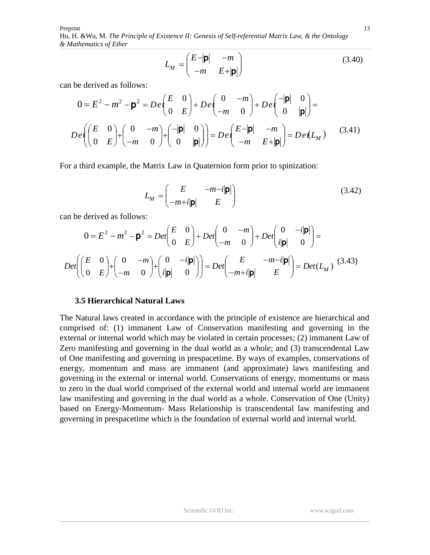$$
L_M = \begin{pmatrix} E - |\mathbf{p}| & -m \\ -m & E + |\mathbf{p}| \end{pmatrix}
$$
 (3.40)

can be derived as follows:

$$
0 = E2 - m2 - \mathbf{p}2 = De\left(\begin{bmatrix} E & 0 \\ 0 & E \end{bmatrix}\right) + De\left(\begin{bmatrix} 0 & -m \\ -m & 0 \end{bmatrix} + De\left(\begin{bmatrix} -|\mathbf{p}| & 0 \\ 0 & |\mathbf{p}| \end{bmatrix}\right) =
$$

$$
De\left(\begin{bmatrix} E & 0 \\ 0 & E \end{bmatrix} + \begin{bmatrix} 0 & -m \\ -m & 0 \end{bmatrix} + \begin{bmatrix} -|\mathbf{p}| & 0 \\ 0 & |\mathbf{p}| \end{bmatrix}\right) = De\left(\begin{bmatrix} E-|\mathbf{p}| & -m \\ -m & E+|\mathbf{p}| \end{bmatrix}\right) = De(L_M)
$$
(3.41)

For a third example, the Matrix Law in Quaternion form prior to spinization:

 $\sim 10^{-1}$ 

$$
L_M = \begin{pmatrix} E & -m-i|\mathbf{p}| \\ -m+i|\mathbf{p}| & E \end{pmatrix}
$$
 (3.42)

can be derived as follows:

$$
0 = E2 - m2 - \mathbf{p}2 = Det \begin{pmatrix} E & 0 \\ 0 & E \end{pmatrix} + Det \begin{pmatrix} 0 & -m \\ -m & 0 \end{pmatrix} + Det \begin{pmatrix} 0 & -i|\mathbf{p}| \\ i|\mathbf{p}| & 0 \end{pmatrix} =
$$

$$
Det \begin{pmatrix} E & 0 \\ 0 & E \end{pmatrix} + \begin{pmatrix} 0 & -m \\ -m & 0 \end{pmatrix} + \begin{pmatrix} 0 & -i|\mathbf{p}| \\ i|\mathbf{p}| & 0 \end{pmatrix} = Det \begin{pmatrix} E & -m-i|\mathbf{p}| \\ -m+i|\mathbf{p}| & E \end{pmatrix} = Det(L_M)
$$
(3.43)

#### **3.5 Hierarchical Natural Laws**

The Natural laws created in accordance with the principle of existence are hierarchical and comprised of: (1) immanent Law of Conservation manifesting and governing in the external or internal world which may be violated in certain processes; (2) immanent Law of Zero manifesting and governing in the dual world as a whole; and (3) transcendental Law of One manifesting and governing in prespacetime. By ways of examples, conservations of energy, momentum and mass are immanent (and approximate) laws manifesting and governing in the external or internal world. Conservations of energy, momentums or mass to zero in the dual world comprised of the external world and internal world are immanent law manifesting and governing in the dual world as a whole. Conservation of One (Unity) based on Energy-Momentum- Mass Relationship is transcendental law manifesting and governing in prespacetime which is the foundation of external world and internal world.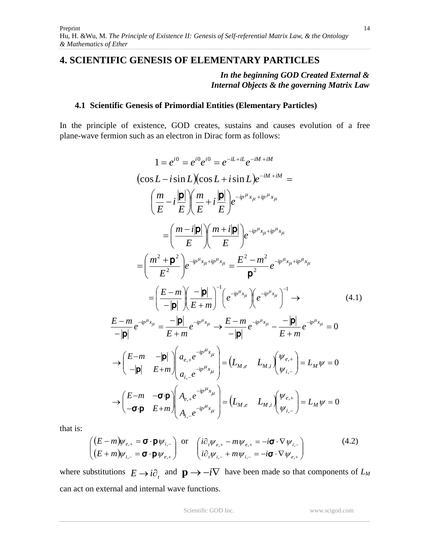# **4. SCIENTIFIC GENESIS OF ELEMENTARY PARTICLES**

*In the beginning GOD Created External & Internal Objects & the governing Matrix Law*

#### **4.1 Scientific Genesis of Primordial Entities (Elementary Particles)**

In the principle of existence, GOD creates, sustains and causes evolution of a free plane-wave fermion such as an electron in Dirac form as follows:

$$
1 = e^{i0} = e^{i0} e^{i0} = e^{-iL+iL} e^{-iM+iM}
$$
  
\n
$$
(\cos L - i \sin L)(\cos L + i \sin L)e^{-iM+iM} =
$$
  
\n
$$
\left(\frac{m}{E} - i\frac{|\mathbf{p}|}{E}\right) \left(\frac{m}{E} + i\frac{|\mathbf{p}|}{E}\right) e^{-ip^{\mu}x_{\mu} + ip^{\mu}x_{\mu}}
$$
  
\n
$$
= \left(\frac{m - i|\mathbf{p}|}{E}\right) \left(\frac{m + i|\mathbf{p}|}{E}\right) e^{-ip^{\mu}x_{\mu} + ip^{\mu}x_{\mu}}
$$
  
\n
$$
= \left(\frac{m^2 + \mathbf{p}^2}{E^2}\right) e^{-ip^{\mu}x_{\mu} + ip^{\mu}x_{\mu}} = \frac{E^2 - m^2}{\mathbf{p}^2} e^{-ip^{\mu}x_{\mu} + ip^{\mu}x_{\mu}}
$$
  
\n
$$
= \left(\frac{E - m}{-|\mathbf{p}|}\right) \left(\frac{-|\mathbf{p}|}{E + m}\right)^{-1} \left(e^{-ip^{\mu}x_{\mu}}\right) \left(e^{-ip^{\mu}x_{\mu}}\right)^{-1} \rightarrow \qquad (4.1)
$$
  
\n
$$
\frac{E - m}{-|\mathbf{p}|} e^{-ip^{\mu}x_{\mu}} = \frac{-|\mathbf{p}|}{E + m} e^{-ip^{\mu}x_{\mu}} \rightarrow \frac{E - m}{-|\mathbf{p}|} e^{-ip^{\mu}x_{\mu}} - \frac{-|\mathbf{p}|}{E + m} e^{-ip^{\mu}x_{\mu}} = 0
$$
  
\n
$$
\rightarrow \left(\frac{E - m}{-|\mathbf{p}|} - \frac{|\mathbf{p}|}{E + m}\right) \left(a_{e,+} e^{-ip^{\mu}x_{\mu}}\right) = \left(L_{M,e} - L_{M,i}\right) \left(\frac{\psi_{e,+}}{\psi_{i,-}}\right) = L_M \psi = 0
$$
  
\n
$$
\rightarrow \left(\frac{E - m}{-\sigma \cdot \mathbf{p}} - \frac{\sigma \cdot \mathbf{p}}{E + m}\right) \left(A_{i,-} e^{-ip^{\mu}x_{\mu}}\right) = \left(L_{M,e} - L_{M,i}\right) \left(\frac{\psi
$$

that is:

$$
\begin{pmatrix}\n(E-m)\psi_{e,+} = \mathbf{\sigma} \cdot \mathbf{p} \psi_{i,-} \\
(E+m)\psi_{i,-} = \mathbf{\sigma} \cdot \mathbf{p} \psi_{e,+}\n\end{pmatrix} \text{ or } \begin{pmatrix}\n\mathrm{i}\partial_t \psi_{e,+} - m\psi_{e,+} = -\mathrm{i}\mathbf{\sigma} \cdot \nabla \psi_{i,-} \\
\mathrm{i}\partial_t \psi_{i,-} + m\psi_{i,-} = -\mathrm{i}\mathbf{\sigma} \cdot \nabla \psi_{e,+}\n\end{pmatrix}
$$
\n(4.2)

where substitutions  $E \rightarrow i\partial_t$  and  $\mathbf{p} \rightarrow -i\nabla$  have been made so that components of  $L_M$ can act on external and internal wave functions.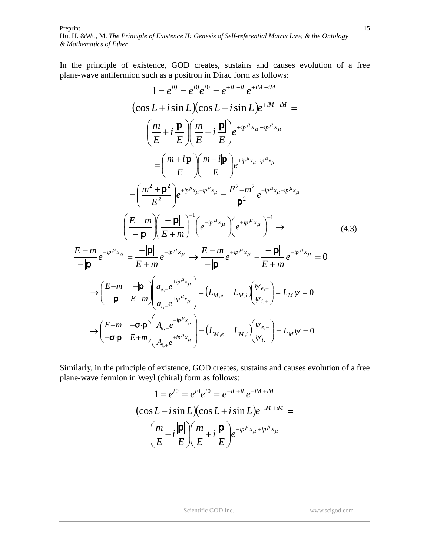In the principle of existence, GOD creates, sustains and causes evolution of a free plane-wave antifermion such as a positron in Dirac form as follows:

$$
1 = e^{i0} = e^{i0} e^{i0} = e^{+iL - iL} e^{+iM - iM}
$$
  
\n
$$
(\cos L + i \sin L)(\cos L - i \sin L) e^{+iM - iM} =
$$
  
\n
$$
\left(\frac{m}{E} + i \frac{|\mathbf{p}|}{E}\right) \left(\frac{m}{E} - i \frac{|\mathbf{p}|}{E}\right) e^{+i p^{\mu} x_{\mu} - i p^{\mu} x_{\mu}}
$$
  
\n
$$
= \left(\frac{m + i|\mathbf{p}|}{E}\right) \left(\frac{m - i|\mathbf{p}|}{E}\right) e^{+i p^{\mu} x_{\mu} - i p^{\mu} x_{\mu}}
$$
  
\n
$$
= \left(\frac{m^2 + \mathbf{p}^2}{E^2}\right) e^{+i p^{\mu} x_{\mu} - i p^{\mu} x_{\mu}} = \frac{E^2 - m^2}{\mathbf{p}^2} e^{+i p^{\mu} x_{\mu} - i p^{\mu} x_{\mu}}
$$
  
\n
$$
= \left(\frac{E - m}{-|\mathbf{p}|} \left(\frac{-|\mathbf{p}|}{E + m}\right)^{-1} \left(e^{+i p^{\mu} x_{\mu}}\right) \left(e^{+i p^{\mu} x_{\mu}}\right)^{-1} \rightarrow
$$
  
\n
$$
\frac{E - m}{-|\mathbf{p}|} e^{+i p^{\mu} x_{\mu}} = \frac{-|\mathbf{p}|}{E + m} e^{+i p^{\mu} x_{\mu}} \rightarrow \frac{E - m}{-|\mathbf{p}|} e^{+i p^{\mu} x_{\mu}} - \frac{-|\mathbf{p}|}{E + m} e^{+i p^{\mu} x_{\mu}} = 0
$$
  
\n
$$
\rightarrow \left(\frac{E - m}{-|\mathbf{p}|} - \frac{|\mathbf{p}|}{E + m}\right) \left(a_{e,e} e^{+i p^{\mu} x_{\mu}}\right) = (L_{M,e} - L_{M,i}) \left(\frac{\psi_{e,-}}{\psi_{i,+}}\right) = L_M \psi = 0
$$
  
\n
$$
\rightarrow \left(\frac{E - m}{-\sigma \cdot \mathbf{p}} \right) \left(A_{e,e} e^{+i p^{\mu} x_{\mu}}\right) = (L_{M,e} - L_{M,i}) \left(\
$$

Similarly, in the principle of existence, GOD creates, sustains and causes evolution of a free plane-wave fermion in Weyl (chiral) form as follows:

$$
1 = e^{i0} = e^{i0}e^{i0} = e^{-iL+iL}e^{-iM+iM}
$$

$$
(\cos L - i\sin L)(\cos L + i\sin L)e^{-iM+iM} =
$$

$$
\left(\frac{m}{E} - i\frac{|\mathbf{p}|}{E}\right)\left(\frac{m}{E} + i\frac{|\mathbf{p}|}{E}\right)e^{-ip\mu_{x_{\mu}+ip}\mu_{x_{\mu}}}
$$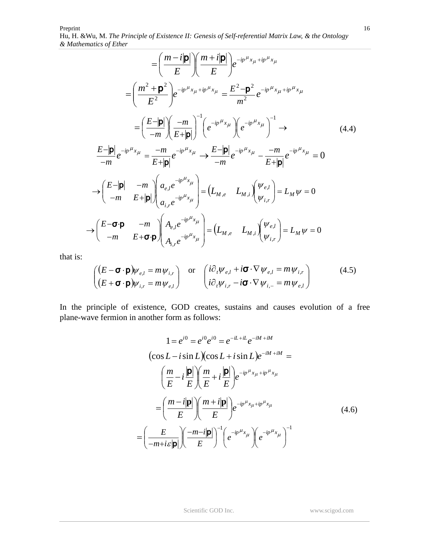$$
= \left(\frac{m-i|\mathbf{p}|}{E}\right)\left(\frac{m+i|\mathbf{p}|}{E}\right)e^{-ip^{\mu}x_{\mu}+ip^{\mu}x_{\mu}}
$$
  
\n
$$
= \left(\frac{m^{2}+|\mathbf{p}|^{2}}{E^{2}}\right)e^{-ip^{\mu}x_{\mu}+ip^{\mu}x_{\mu}} = \frac{E^{2}-|\mathbf{p}|^{2}}{m^{2}}e^{-ip^{\mu}x_{\mu}+ip^{\mu}x_{\mu}}
$$
  
\n
$$
= \left(\frac{E-|\mathbf{p}|}{-m}\right)\left(\frac{-m}{E+|\mathbf{p}|}\right)^{-1}\left(e^{-ip^{\mu}x_{\mu}}\right)\left(e^{-ip^{\mu}x_{\mu}}\right)^{-1} \rightarrow \qquad (4.4)
$$
  
\n
$$
\frac{E-|\mathbf{p}|}{-m}e^{-ip^{\mu}x_{\mu}} = \frac{-m}{E+|\mathbf{p}|}e^{-ip^{\mu}x_{\mu}} \rightarrow \frac{E-|\mathbf{p}|}{-m}e^{-ip^{\mu}x_{\mu}} - \frac{-m}{E+|\mathbf{p}|}e^{-ip^{\mu}x_{\mu}} = 0
$$
  
\n
$$
\rightarrow \left(\begin{array}{cc} E-|\mathbf{p}| & -m\\ -m & E+|\mathbf{p}|\end{array}\right)\left(\begin{array}{c} a_{e,l}e^{-ip^{\mu}x_{\mu}}\\ a_{i,r}e^{-ip^{\mu}x_{\mu}}\end{array}\right) = \left(L_{M,e} - L_{M,i}\right)\left(\begin{array}{c} \psi_{e,l}\\ \psi_{i,r}\end{array}\right) = L_{M}\psi = 0
$$
  
\n
$$
\rightarrow \left(\begin{array}{cc} E-\mathbf{G}\cdot\mathbf{p} & -m\\ -m & E+\mathbf{G}\cdot\mathbf{p}\end{array}\right)\left(\begin{array}{c} A_{e,l}e^{-ip^{\mu}x_{\mu}}\\ A_{i,r}e^{-ip^{\mu}x_{\mu}}\end{array}\right) = \left(L_{M,e} - L_{M,i}\right)\left(\begin{array}{c} \psi_{e,l}\\ \psi_{i,r}\end{array}\right) = L_{M}\psi = 0
$$

that is:

$$
\begin{pmatrix}\n(E - \mathbf{\sigma} \cdot \mathbf{p})\psi_{e,l} = m\psi_{i,r} \\
(E + \mathbf{\sigma} \cdot \mathbf{p})\psi_{i,r} = m\psi_{e,l}\n\end{pmatrix} \text{ or } \begin{pmatrix}\ni\partial_t\psi_{e,l} + i\mathbf{\sigma} \cdot \nabla \psi_{e,l} = m\psi_{i,r} \\
i\partial_t\psi_{i,r} - i\mathbf{\sigma} \cdot \nabla \psi_{i,-} = m\psi_{e,l}\n\end{pmatrix}
$$
\n(4.5)

In the principle of existence, GOD creates, sustains and causes evolution of a free plane-wave fermion in another form as follows:

$$
1 = e^{i0} = e^{i0} e^{i0} = e^{-iL + iL} e^{-iM + iM}
$$
  
\n
$$
(\cos L - i \sin L)(\cos L + i \sin L) e^{-iM + iM} =
$$
  
\n
$$
\left(\frac{m}{E} - i\frac{|\mathbf{p}|}{E}\right) \left(\frac{m}{E} + i\frac{|\mathbf{p}|}{E}\right) e^{-ip\mu_{x_{\mu} + ip}\mu_{x_{\mu}}}
$$
  
\n
$$
= \left(\frac{m - i|\mathbf{p}|}{E}\right) \left(\frac{m + i|\mathbf{p}|}{E}\right) e^{-ip\mu_{x_{\mu} + ip}\mu_{x_{\mu}}}
$$
  
\n
$$
= \left(\frac{E}{-m + i\varepsilon|\mathbf{p}|}\right) \left(\frac{-m - i|\mathbf{p}|}{E}\right)^{-1} \left(e^{-ip\mu_{x_{\mu}}}\right) \left(e^{-ip\mu_{x_{\mu}}}\right)^{-1}
$$
\n(4.6)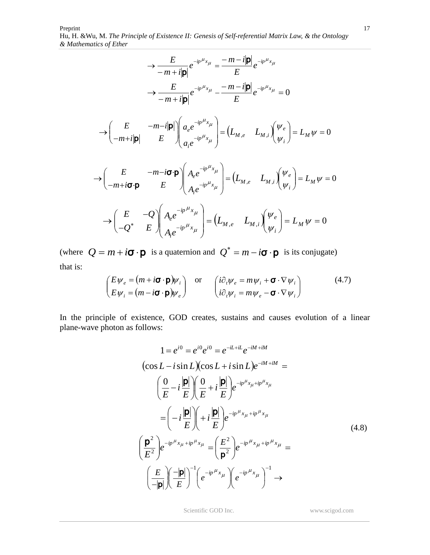$$
\rightarrow \frac{E}{-m+i|\mathbf{p}|}e^{-ip^{\mu}x_{\mu}} = \frac{-m-i|\mathbf{p}|}{E}e^{-ip^{\mu}x_{\mu}}
$$
\n
$$
\rightarrow \frac{E}{-m+i|\mathbf{p}|}e^{-ip^{\mu}x_{\mu}} - \frac{-m-i|\mathbf{p}|}{E}e^{-ip^{\mu}x_{\mu}} = 0
$$
\n
$$
\rightarrow \left(\begin{array}{cc} E & -m-i|\mathbf{p}| \\ -m+i|\mathbf{p}| & E \end{array}\right)\left(\begin{array}{c} a_{e}e^{-ip^{\mu}x_{\mu}} \\ a_{i}e^{-ip^{\mu}x_{\mu}} \end{array}\right) = \left(L_{M,e} \quad L_{M,i}\right)\left(\begin{array}{c} \psi_{e} \\ \psi_{i} \end{array}\right) = L_{M}\psi = 0
$$
\n
$$
\rightarrow \left(\begin{array}{cc} E & -m-i\sigma \cdot \mathbf{p} \\ -m+i\sigma \cdot \mathbf{p} & E \end{array}\right)\left(\begin{array}{c} A_{e}e^{-ip^{\mu}x_{\mu}} \\ A_{i}e^{-ip^{\mu}x_{\mu}} \end{array}\right) = \left(L_{M,e} \quad L_{M,i}\right)\left(\begin{array}{c} \psi_{e} \\ \psi_{i} \end{array}\right) = L_{M}\psi = 0
$$
\n
$$
\rightarrow \left(\begin{array}{cc} E & -Q \\ -Q^{*} & E \end{array}\right)\left(\begin{array}{c} A_{e}e^{-ip^{\mu}x_{\mu}} \\ A_{i}e^{-ip^{\mu}x_{\mu}} \end{array}\right) = \left(L_{M,e} \quad L_{M,i}\right)\left(\begin{array}{c} \psi_{e} \\ \psi_{i} \end{array}\right) = L_{M}\psi = 0
$$

(where  $Q = m + i\sigma \cdot \mathbf{p}$  is a quaternion and  $Q^* = m - i\sigma \cdot \mathbf{p}$  is its conjugate) that is:

$$
\begin{pmatrix} E\psi_e = (m + i\boldsymbol{\sigma} \cdot \boldsymbol{p})\psi_i \\ E\psi_i = (m - i\boldsymbol{\sigma} \cdot \boldsymbol{p})\psi_e \end{pmatrix} \text{ or } \begin{pmatrix} i\partial_t\psi_e = m\psi_i + \boldsymbol{\sigma} \cdot \nabla\psi_i \\ i\partial_t\psi_i = m\psi_e - \boldsymbol{\sigma} \cdot \nabla\psi_i \end{pmatrix}
$$
(4.7)

In the principle of existence, GOD creates, sustains and causes evolution of a linear plane-wave photon as follows:

$$
1 = e^{i0} = e^{i0} e^{i0} = e^{-iL+il} e^{-iM+ilM}
$$
  
\n
$$
(\cos L - i \sin L)(\cos L + i \sin L) e^{-iM+ilM} =
$$
  
\n
$$
\left(\frac{0}{E} - i\frac{|\mathbf{p}|}{E}\right) \left(\frac{0}{E} + i\frac{|\mathbf{p}|}{E}\right) e^{-ip^{\mu}x_{\mu}+ip^{\mu}x_{\mu}}
$$
  
\n
$$
= \left(-i\frac{|\mathbf{p}|}{E}\right) \left(+i\frac{|\mathbf{p}|}{E}\right) e^{-ip^{\mu}x_{\mu}+ip^{\mu}x_{\mu}}
$$
  
\n
$$
\left(\frac{\mathbf{p}^2}{E^2}\right) e^{-ip^{\mu}x_{\mu}+ip^{\mu}x_{\mu}} = \left(\frac{E^2}{\mathbf{p}^2}\right) e^{-ip^{\mu}x_{\mu}+ip^{\mu}x_{\mu}} =
$$
  
\n
$$
\left(\frac{E}{-|\mathbf{p}|}\right) \left(\frac{-|\mathbf{p}|}{E}\right)^{-1} \left(e^{-ip^{\mu}x_{\mu}}\right) \left(e^{-ip^{\mu}x_{\mu}}\right)^{-1} \rightarrow
$$
  
\n(4.8)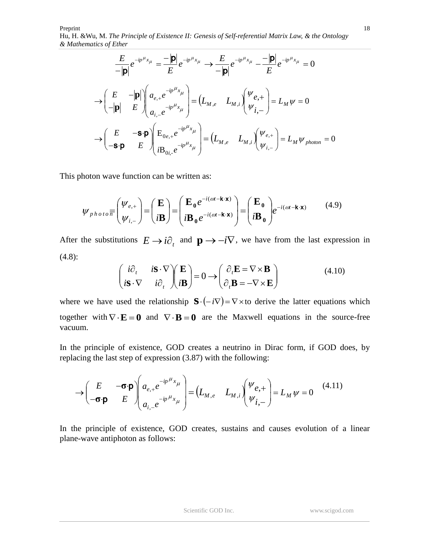$$
\frac{E}{-|\mathbf{p}|}e^{-ip^{\mu}x_{\mu}} = \frac{-|\mathbf{p}|}{E}e^{-ip^{\mu}x_{\mu}} \longrightarrow \frac{E}{-|\mathbf{p}|}e^{-ip^{\mu}x_{\mu}} - \frac{-|\mathbf{p}|}{E}e^{-ip^{\mu}x_{\mu}} = 0
$$
\n
$$
\rightarrow \begin{pmatrix} E & -|\mathbf{p}| \\ -|\mathbf{p}| & E \end{pmatrix} \begin{pmatrix} a_{e,+}e^{-ip^{\mu}x_{\mu}} \\ a_{i,-}e^{-ip^{\mu}x_{\mu}} \end{pmatrix} = \begin{pmatrix} L_{M,e} & L_{M,i} \end{pmatrix} \begin{pmatrix} \Psi_{e,+} \\ \Psi_{i,-} \end{pmatrix} = L_{M}\Psi = 0
$$
\n
$$
\rightarrow \begin{pmatrix} E & -\mathbf{s}\cdot\mathbf{p} \\ -\mathbf{s}\cdot\mathbf{p} & E \end{pmatrix} \begin{pmatrix} E_{0e,+}e^{-ip^{\mu}x_{\mu}} \\ iB_{0i,-}e^{-ip^{\mu}x_{\mu}} \end{pmatrix} = \begin{pmatrix} L_{M,e} & L_{M,i} \end{pmatrix} \begin{pmatrix} \Psi_{e,+} \\ \Psi_{i,-} \end{pmatrix} = L_{M}\Psi_{photon} = 0
$$

This photon wave function can be written as:

$$
\psi_{photo} \overline{\pi} \begin{pmatrix} \psi_{e,+} \\ \psi_{i,-} \end{pmatrix} = \begin{pmatrix} \mathbf{E} \\ i\mathbf{B} \end{pmatrix} = \begin{pmatrix} \mathbf{E}_0 e^{-i(\omega t - \mathbf{k} \cdot \mathbf{x})} \\ i\mathbf{B}_0 e^{-i(\omega t - \mathbf{k} \cdot \mathbf{x})} \end{pmatrix} = \begin{pmatrix} \mathbf{E}_0 \\ i\mathbf{B}_0 \end{pmatrix} e^{-i(\omega t - \mathbf{k} \cdot \mathbf{x})}
$$
(4.9)

After the substitutions  $E \to i\partial_t$  and  $\mathbf{p} \to -i\nabla$ , we have from the last expression in (4.8):

$$
\begin{pmatrix} i\partial_t & i\mathbf{S} \cdot \nabla \\ i\mathbf{S} \cdot \nabla & i\partial_t \end{pmatrix} \begin{pmatrix} \mathbf{E} \\ i\mathbf{B} \end{pmatrix} = 0 \longrightarrow \begin{pmatrix} \partial_t \mathbf{E} = \nabla \times \mathbf{B} \\ \partial_t \mathbf{B} = -\nabla \times \mathbf{E} \end{pmatrix}
$$
(4.10)

where we have used the relationship  $\mathbf{S} \cdot (-i\nabla) = \nabla \times$  to derive the latter equations which together with  $\nabla \cdot \mathbf{E} = \mathbf{0}$  and  $\nabla \cdot \mathbf{B} = \mathbf{0}$  are the Maxwell equations in the source-free vacuum.

In the principle of existence, GOD creates a neutrino in Dirac form, if GOD does, by replacing the last step of expression (3.87) with the following:

$$
\rightarrow \begin{pmatrix} E & -\boldsymbol{\sigma} \cdot \boldsymbol{p} \\ -\boldsymbol{\sigma} \cdot \boldsymbol{p} & E \end{pmatrix} \begin{pmatrix} a_{e,+}e^{-ip\mu_{x_{\mu}}} \\ a_{i,-}e^{-ip\mu_{x_{\mu}}} \end{pmatrix} = \begin{pmatrix} L_{M,e} & L_{M,i} \end{pmatrix} \begin{pmatrix} \psi_{e,+} \\ \psi_{i,-} \end{pmatrix} = L_{M}\psi = 0 \tag{4.11}
$$

In the principle of existence, GOD creates, sustains and causes evolution of a linear plane-wave antiphoton as follows: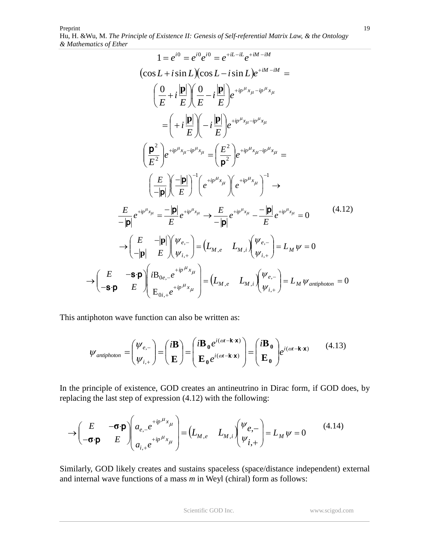$$
1 = e^{i0} = e^{i0}e^{i0} = e^{+iL - iL}e^{+iM - iM}
$$
  
\n
$$
(\cos L + i \sin L)(\cos L - i \sin L)e^{+iM - iM} =
$$
  
\n
$$
\left(\frac{0}{E} + i\frac{|\mathbf{p}|}{E}\right)\left(\frac{0}{E} - i\frac{|\mathbf{p}|}{E}\right)e^{+ip^{\mu}x_{\mu} - ip^{\mu}x_{\mu}}
$$
  
\n
$$
= \left(+i\frac{|\mathbf{p}|}{E}\right)\left(-i\frac{|\mathbf{p}|}{E}\right)e^{+ip^{\mu}x_{\mu} - ip^{\mu}x_{\mu}}
$$
  
\n
$$
\left(\frac{\mathbf{p}^{2}}{E^{2}}\right)e^{+ip^{\mu}x_{\mu} - ip^{\mu}x_{\mu}} = \left(\frac{E^{2}}{\mathbf{p}^{2}}\right)e^{+ip^{\mu}x_{\mu} - ip^{\mu}x_{\mu}} =
$$
  
\n
$$
\left(\frac{E}{-|\mathbf{p}|}\right)\left(-\frac{|\mathbf{p}|}{E}\right)^{-1}\left(e^{+ip^{\mu}x_{\mu}}\right)\left(e^{+ip^{\mu}x_{\mu}}\right)^{-1} \rightarrow
$$
  
\n
$$
\frac{E}{-|\mathbf{p}|}e^{+ip^{\mu}x_{\mu}} = \frac{-|\mathbf{p}|}{E}e^{+ip^{\mu}x_{\mu}} \rightarrow \frac{E}{-|\mathbf{p}|}e^{+ip^{\mu}x_{\mu}} - \frac{-|\mathbf{p}|}{E}e^{+ip^{\mu}x_{\mu}} = 0 \qquad (4.12)
$$
  
\n
$$
\rightarrow \left(\frac{E}{-|\mathbf{p}|} - \frac{|\mathbf{p}|}{E}\right)\left(\frac{\psi_{e,-}}{\psi_{i,+}}\right) = \left(L_{M,e} - L_{M,i}\right)\left(\frac{\psi_{e,-}}{\psi_{i,+}}\right) = L_{M}\psi = 0
$$
  
\n
$$
\rightarrow \left(\frac{E}{-S \cdot \mathbf{p}} - \frac{S \cdot \mathbf{p}}{E}\right)\left(\frac{iB_{0e,-}e^{+ip^{\mu}x_{\mu}}}{E_{0i,+}e^{+ip^{\mu}x_{\mu}}}\right) = \left(L_{M,e} - L_{M,i}\right)\left(\frac
$$

This antiphoton wave function can also be written as:

$$
\mathcal{W}_{antiphoton} = \begin{pmatrix} \mathcal{W}_{e,-} \\ \mathcal{W}_{i,+} \end{pmatrix} = \begin{pmatrix} i\mathbf{B} \\ \mathbf{E} \end{pmatrix} = \begin{pmatrix} i\mathbf{B}_0 e^{i(\omega t - \mathbf{k} \cdot \mathbf{x})} \\ \mathbf{E}_0 e^{i(\omega t - \mathbf{k} \cdot \mathbf{x})} \end{pmatrix} = \begin{pmatrix} i\mathbf{B}_0 \\ \mathbf{E}_0 \end{pmatrix} e^{i(\omega t - \mathbf{k} \cdot \mathbf{x})}
$$
(4.13)

In the principle of existence, GOD creates an antineutrino in Dirac form, if GOD does, by replacing the last step of expression (4.12) with the following:

$$
\rightarrow \begin{pmatrix} E & -\boldsymbol{\sigma} \cdot \boldsymbol{p} \\ -\boldsymbol{\sigma} \cdot \boldsymbol{p} & E \end{pmatrix} \begin{pmatrix} a_{e,-} e^{+ip\mu_x} \\ a_{i,+} e^{+ip\mu_x} \end{pmatrix} = \begin{pmatrix} L_{M,e} & L_{M,i} \end{pmatrix} \begin{pmatrix} \psi_{e,-} \\ \psi_{i,+} \end{pmatrix} = L_M \psi = 0 \tag{4.14}
$$

Similarly, GOD likely creates and sustains spaceless (space/distance independent) external and internal wave functions of a mass *m* in Weyl (chiral) form as follows: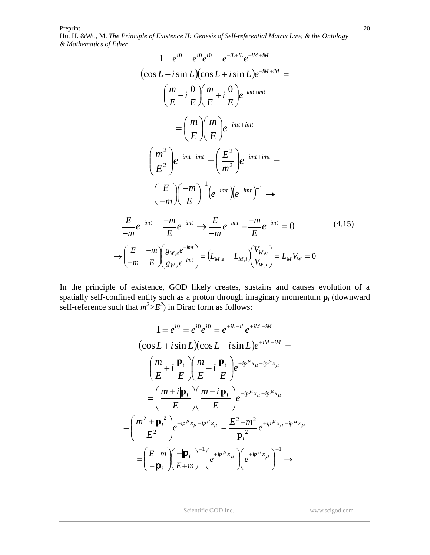Preprint Hu, H. &Wu*,* M. *The Principle of Existence II: Genesis of Self-referential Matrix Law, & the Ontology & Mathematics of Ether*

$$
1 = e^{i0} = e^{i0} e^{i0} = e^{-iL+il} e^{-iM+ikM}
$$
  
\n
$$
(\cos L - i \sin L)(\cos L + i \sin L)e^{-iM+ikM} =
$$
  
\n
$$
\left(\frac{m}{E} - i\frac{0}{E}\right)\left(\frac{m}{E} + i\frac{0}{E}\right)e^{-imt+imt}
$$
  
\n
$$
= \left(\frac{m}{E}\right)\left(\frac{m}{E}\right)e^{-imt+imt}
$$
  
\n
$$
\left(\frac{m^2}{E^2}\right)e^{-imt+imt} = \left(\frac{E^2}{m^2}\right)e^{-imt+imt} =
$$
  
\n
$$
\left(\frac{E}{-m}\right)\left(\frac{-m}{E}\right)^{-1}\left(e^{-imt}\right)e^{-imt}\right)^{-1} \rightarrow
$$
  
\n
$$
\frac{E}{-m}e^{-imt} = \frac{-m}{E}e^{-imt} \rightarrow \frac{E}{-m}e^{-imt} - \frac{-m}{E}e^{-imt} = 0
$$
  
\n
$$
\rightarrow \left(\frac{E}{-m} - \frac{-m}{E}\right)\left(\frac{g_{W,e}e^{-imt}}{g_{W,i}e^{-imt}}\right) = \left(L_{M,e} - L_{M,i}\right)\left(\frac{V_{W,e}}{V_{W,i}}\right) = L_M V_W = 0
$$
  
\n(4.15)

In the principle of existence, GOD likely creates, sustains and causes evolution of a spatially self-confined entity such as a proton through imaginary momentum **p***<sup>i</sup>* (downward self-reference such that  $m^2 > E^2$ ) in Dirac form as follows:

$$
1 = e^{i0} = e^{i0}e^{i0} = e^{+iL-iL}e^{+iM-iM}
$$
  
\n
$$
(\cos L + i \sin L)(\cos L - i \sin L)e^{+iM-iM} =
$$
  
\n
$$
\left(\frac{m}{E} + i\frac{|\mathbf{p}_i|}{E}\right)\left(\frac{m}{E} - i\frac{|\mathbf{p}_i|}{E}\right)e^{+ip^{\mu}x_{\mu} - ip^{\mu}x_{\mu}}
$$
  
\n
$$
= \left(\frac{m + i|\mathbf{p}_i|}{E}\right)\left(\frac{m - i|\mathbf{p}_i|}{E}\right)e^{+ip^{\mu}x_{\mu} - ip^{\mu}x_{\mu}}
$$
  
\n
$$
= \left(\frac{m^2 + \mathbf{p}_i^2}{E^2}\right)e^{+ip^{\mu}x_{\mu} - ip^{\mu}x_{\mu}} = \frac{E^2 - m^2}{\mathbf{p}_i^2}e^{+ip^{\mu}x_{\mu} - ip^{\mu}x_{\mu}}
$$
  
\n
$$
= \left(\frac{E - m}{-|\mathbf{p}_i|}\right)\left(\frac{-|\mathbf{p}_i|}{E + m}\right)^{-1}\left(e^{+ip^{\mu}x_{\mu}}\right)\left(e^{+ip^{\mu}x_{\mu}}\right)^{-1} \rightarrow
$$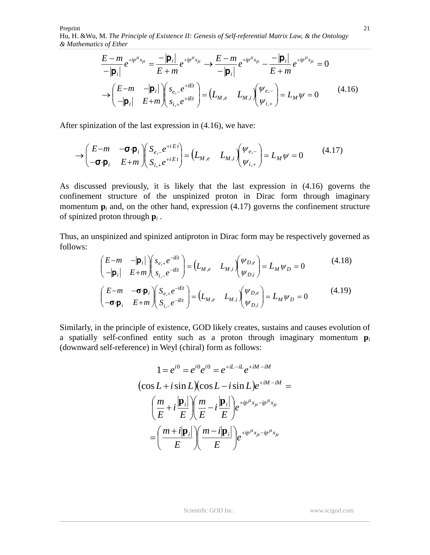$$
\frac{E - m}{-|\mathbf{p}_i|} e^{+ip^{\mu}x_{\mu}} = \frac{-|\mathbf{p}_i|}{E + m} e^{+ip^{\mu}x_{\mu}} \longrightarrow \frac{E - m}{-|\mathbf{p}_i|} e^{+ip^{\mu}x_{\mu}} - \frac{-|\mathbf{p}_i|}{E + m} e^{+ip^{\mu}x_{\mu}} = 0
$$
\n
$$
\longrightarrow \begin{pmatrix} E - m & -|\mathbf{p}_i| \\ -|\mathbf{p}_i| & E + m \end{pmatrix} \begin{pmatrix} s_{e,-} e^{+iEt} \\ s_{i,+} e^{+iEt} \end{pmatrix} = \begin{pmatrix} L_{M,e} & L_{M,i} \end{pmatrix} \begin{pmatrix} \Psi_{e,-} \\ \Psi_{i,+} \end{pmatrix} = L_M \psi = 0 \tag{4.16}
$$

After spinization of the last expression in (4.16), we have:

$$
\rightarrow \begin{pmatrix} E-m & -\sigma \cdot \mathbf{p}_i \\ -\sigma \cdot \mathbf{p}_i & E+m \end{pmatrix} \begin{pmatrix} S_{e,-}e^{+iEt} \\ S_{i,+}e^{+iEt} \end{pmatrix} = \begin{pmatrix} L_{M,e} & L_{M,i} \end{pmatrix} \begin{pmatrix} \psi_{e,-} \\ \psi_{i,+} \end{pmatrix} = L_M \psi = 0 \tag{4.17}
$$

As discussed previously, it is likely that the last expression in (4.16) governs the confinement structure of the unspinized proton in Dirac form through imaginary momentum  $\mathbf{p}_i$  and, on the other hand, expression (4.17) governs the confinement structure of spinized proton through **p***<sup>i</sup>* .

Thus, an unspinized and spinized antiproton in Dirac form may be respectively governed as follows:

$$
\begin{pmatrix}\nE-m & -|\mathbf{p}_i| \\
-|\mathbf{p}_i| & E+m\n\end{pmatrix}\n\begin{pmatrix}\ns_{e,+}e^{-iEt} \\
s_{i,-}e^{-iEt}\n\end{pmatrix} = \n\begin{pmatrix}\nL_{M,e} & L_{M,i}\n\end{pmatrix}\n\begin{pmatrix}\n\Psi_{D,e} \\
\Psi_{D,i}\n\end{pmatrix} = L_M \Psi_D = 0
$$
\n(4.18)\n
$$
\begin{pmatrix}\nE-m & -\sigma \cdot \mathbf{p}_i \\
-\sigma \cdot \mathbf{p}_i & E+m\n\end{pmatrix}\n\begin{pmatrix}\nS_{e,+}e^{-iEt} \\
S_{i,-}e^{-iEt}\n\end{pmatrix} = \n\begin{pmatrix}\nL_{M,e} & L_{M,i}\n\end{pmatrix}\n\begin{pmatrix}\n\Psi_{D,e} \\
\Psi_{D,i}\n\end{pmatrix} = L_M \Psi_D = 0
$$
\n(4.19)

Similarly, in the principle of existence, GOD likely creates, sustains and causes evolution of a spatially self-confined entity such as a proton through imaginary momentum **p***<sup>i</sup>* (downward self-reference) in Weyl (chiral) form as follows:

$$
1 = e^{i0} = e^{i0} e^{i0} = e^{+iL - iL} e^{+iM - iM}
$$
  
\n
$$
(\cos L + i \sin L)(\cos L - i \sin L) e^{+iM - iM} =
$$
  
\n
$$
\left(\frac{m}{E} + i \frac{|\mathbf{p}_i|}{E}\right) \left(\frac{m}{E} - i \frac{|\mathbf{p}_i|}{E}\right) e^{+ip^{\mu}x_{\mu} - ip^{\mu}x_{\mu}}
$$
  
\n
$$
= \left(\frac{m + i|\mathbf{p}_i|}{E}\right) \left(\frac{m - i|\mathbf{p}_i|}{E}\right) e^{+ip^{\mu}x_{\mu} - ip^{\mu}x_{\mu}}
$$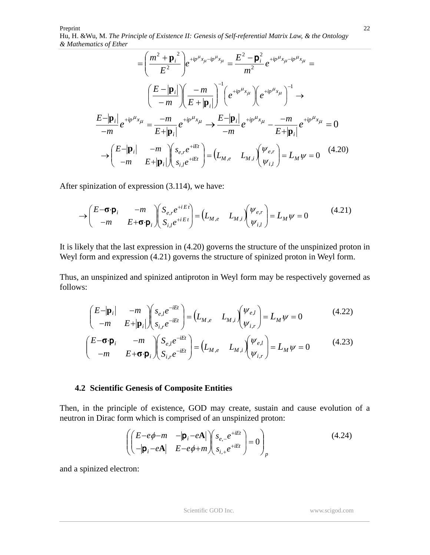$$
= \left(\frac{m^{2} + {\bf p}_{i}^{2}}{E^{2}}\right) e^{+ip^{\mu}x_{\mu} - ip^{\mu}x_{\mu}} = \frac{E^{2} - {\bf p}_{i}^{2}}{m^{2}} e^{+ip^{\mu}x_{\mu} - ip^{\mu}x_{\mu}} =
$$
\n
$$
\left(\frac{E - |{\bf p}_{i}|}{-m}\right) \left(\frac{-m}{E + |{\bf p}_{i}|}\right)^{-1} \left(e^{+ip^{\mu}x_{\mu}}\right) \left(e^{+ip^{\mu}x_{\mu}}\right)^{-1} \rightarrow
$$
\n
$$
\frac{E - |{\bf p}_{i}|}{-m} e^{+ip^{\mu}x_{\mu}} = \frac{-m}{E + |{\bf p}_{i}|} e^{+ip^{\mu}x_{\mu}} \rightarrow \frac{E - |{\bf p}_{i}|}{-m} e^{+ip^{\mu}x_{\mu}} - \frac{-m}{E + |{\bf p}_{i}|} e^{+ip^{\mu}x_{\mu}} = 0
$$
\n
$$
\rightarrow \left(\frac{E - |{\bf p}_{i}|}{-m} - \frac{m}{E + |{\bf p}_{i}|}\right) \left(\frac{s_{e,r}e^{+iEt}}{s_{i,l}e^{+iEt}}\right) = \left(L_{M,e} - L_{M,i}\right) \left(\frac{\psi_{e,r}}{\psi_{i,l}}\right) = L_{M}\psi = 0 \quad (4.20)
$$

After spinization of expression (3.114), we have:

$$
\rightarrow \begin{pmatrix} E-\boldsymbol{\sigma}\cdot\boldsymbol{p}_i & -m \\ -m & E+\boldsymbol{\sigma}\cdot\boldsymbol{p}_i \end{pmatrix} \begin{pmatrix} S_{e,r}e^{+iEt} \\ S_{i,l}e^{+iEt} \end{pmatrix} = \begin{pmatrix} L_{M,e} & L_{M,i} \end{pmatrix} \begin{pmatrix} \psi_{e,r} \\ \psi_{i,l} \end{pmatrix} = L_M\psi = 0 \tag{4.21}
$$

It is likely that the last expression in (4.20) governs the structure of the unspinized proton in Weyl form and expression (4.21) governs the structure of spinized proton in Weyl form.

Thus, an unspinized and spinized antiproton in Weyl form may be respectively governed as follows:

$$
\begin{pmatrix} E-|\mathbf{p}_i| & -m \\ -m & E+|\mathbf{p}_i| \end{pmatrix} \begin{pmatrix} s_{e,l}e^{-iEt} \\ s_{i,r}e^{-iEt} \end{pmatrix} = \begin{pmatrix} L_{M,e} & L_{M,i} \end{pmatrix} \begin{pmatrix} \psi_{e,l} \\ \psi_{i,r} \end{pmatrix} = L_M \psi = 0 \tag{4.22}
$$

$$
\begin{pmatrix} E-\mathbf{\sigma}\cdot\mathbf{p}_i & -m \\ -m & E+\mathbf{\sigma}\cdot\mathbf{p}_i \end{pmatrix} \begin{pmatrix} S_{e,l}e^{-iEt} \\ S_{i,r}e^{-iEt} \end{pmatrix} = \begin{pmatrix} L_{M,e} & L_{M,i} \end{pmatrix} \begin{pmatrix} \psi_{e,l} \\ \psi_{i,r} \end{pmatrix} = L_M\psi = 0 \tag{4.23}
$$

#### **4.2 Scientific Genesis of Composite Entities**

Then, in the principle of existence, GOD may create, sustain and cause evolution of a neutron in Dirac form which is comprised of an unspinized proton:

$$
\left( \begin{pmatrix} E - e\phi - m & -|\mathbf{p}_i - e\mathbf{A}| \\ -|\mathbf{p}_i - e\mathbf{A}| & E - e\phi + m \end{pmatrix} \begin{pmatrix} s_{e,-}e^{+iEt} \\ s_{i,+}e^{+iEt} \end{pmatrix} = 0 \right)_p
$$
\n(4.24)

and a spinized electron: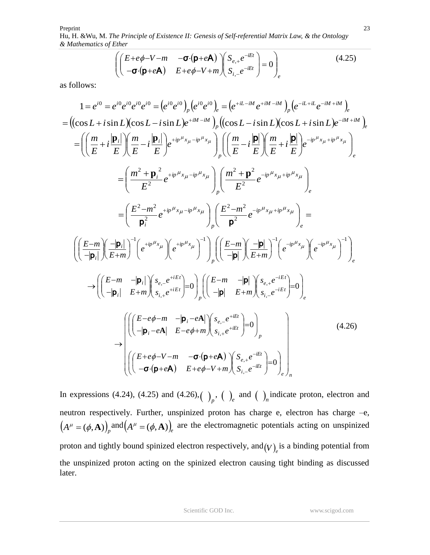$$
\begin{pmatrix}\n(E+e\phi-V-m & -\sigma(p+eA) \\
-\sigma(p+eA) & E+e\phi-V+m\n\end{pmatrix}\n\begin{pmatrix}\nS_{e,+}e^{-iEt} \\
S_{i,-}e^{-iEt}\n\end{pmatrix} = 0\n\end{pmatrix}_e
$$
\n(4.25)

as follows:

$$
1 = e^{i0} = e^{i0} e^{i0} e^{i0} e^{i0} = (e^{i0} e^{i0})_p (e^{i0} e^{i0})_e = (e^{+it-iM} e^{+iM-iM})_p (e^{-it-iM} e^{-iM+iM})_e
$$
  
\n
$$
= ((\cos L + i \sin L)(\cos L - i \sin L)e^{+iM-iM})_p ((\cos L - i \sin L)(\cos L + i \sin L)e^{-iM+iM})_e
$$
  
\n
$$
= \left( \left( \frac{m}{E} + i \frac{|\mathbf{p}_i|}{E} \right) \left( \frac{m}{E} - i \frac{|\mathbf{p}_i|}{E} \right) e^{+ip^{\mu} x_{\mu} - ip^{\mu} x_{\mu}} \right) \left( \left( \frac{m}{E} - i \frac{|\mathbf{p}|}{E} \right) \left( \frac{m}{E} + i \frac{|\mathbf{p}|}{E} \right) e^{-ip^{\mu} x_{\mu} + ip^{\mu} x_{\mu}} \right)_{e}
$$
  
\n
$$
= \left( \frac{m^2 + \mathbf{p}_i^2}{E^2} e^{+ip^{\mu} x_{\mu} - ip^{\mu} x_{\mu}} \right) \left( \frac{m^2 + \mathbf{p}^2}{E^2} e^{-ip^{\mu} x_{\mu} + ip^{\mu} x_{\mu}} \right)_{e}
$$
  
\n
$$
= \left( \frac{E - m^2}{\mathbf{p}_i^2} e^{+ip^{\mu} x_{\mu} - ip^{\mu} x_{\mu}} \right) \left( \frac{E^2 - m^2}{\mathbf{p}^2} e^{-ip^{\mu} x_{\mu} + ip^{\mu} x_{\mu}} \right)_{e}
$$
  
\n
$$
\left( \left( \frac{E - m}{-|\mathbf{p}_i|} \right) \left( \frac{-|\mathbf{p}_i|}{E + m} \right)^{-1} (e^{+ip^{\mu} x_{\mu}}) e^{-ip^{\mu} x_{\mu}} \right) \left( e^{-ip^{\mu} x_{\mu}} \right)^{-1} \right)_{e}
$$
  
\n
$$
\rightarrow \left( \left( \frac{E - m}{-|\mathbf{p}_i|} \right) \left( \frac{s_{e,e}^{+iEi}}{s_{i,e}^{+iEi}} \right
$$

In expressions (4.24), (4.25) and (4.26),  $\binom{p}{r}$ ,  $\binom{p}{r}$  and  $\binom{p}{r}$  indicate proton, electron and neutron respectively. Further, unspinized proton has charge e, electron has charge –e,  $(A^{\mu} = (\phi, \mathbf{A}))$ <sub>p</sub> and  $(A^{\mu} = (\phi, \mathbf{A}))$ <sub>e</sub> are the electromagnetic potentials acting on unspinized proton and tightly bound spinized electron respectively, and  $(V)$ <sub>e</sub> is a binding potential from the unspinized proton acting on the spinized electron causing tight binding as discussed later.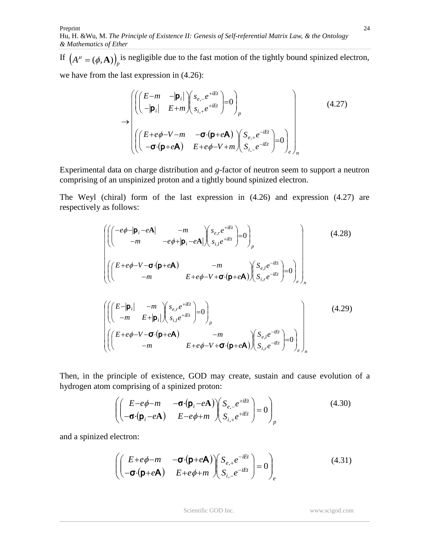If  $(A^{\mu} = (\phi, \mathbf{A})\big)$  is negligible due to the fast motion of the tightly bound spinized electron, we have from the last expression in (4.26):

$$
\rightarrow \begin{pmatrix}\n\left(\begin{pmatrix} E-m & -|\mathbf{p}_i| \\ -|\mathbf{p}_i| & E+m \end{pmatrix} \begin{pmatrix} s_{e,-}e^{+iEt} \\ s_{i,+}e^{+iEt} \end{pmatrix} = 0 \right)_p \\
\left(\begin{pmatrix} E+e\phi-V-m & -\sigma\cdot(\mathbf{p}+e\mathbf{A}) \\ -\sigma\cdot(\mathbf{p}+e\mathbf{A}) & E+e\phi-V+m \end{pmatrix} \begin{pmatrix} S_{e,+}e^{-iEt} \\ S_{i,-}e^{-iEt} \end{pmatrix} = 0 \right)_e\n\end{pmatrix}
$$
\n(4.27)

Experimental data on charge distribution and *g*-factor of neutron seem to support a neutron comprising of an unspinized proton and a tightly bound spinized electron.

The Weyl (chiral) form of the last expression in (4.26) and expression (4.27) are respectively as follows:

$$
\left(\left(\begin{pmatrix} -e\phi - |\mathbf{p}_i - e\mathbf{A}| & -m & -e\phi + |\mathbf{p}_i - e\mathbf{A}| \end{pmatrix} \begin{pmatrix} s_{e,r}e^{+iEt} \\ s_{i,l}e^{+iEt} \end{pmatrix} = 0\right)_p \right) \qquad (4.28)
$$
\n
$$
\left(\left(\begin{pmatrix} E + e\phi - V - \sigma \cdot (\mathbf{p} + e\mathbf{A}) & -m & E + e\phi - V + \sigma \cdot (\mathbf{p} + e\mathbf{A}) \end{pmatrix} \begin{pmatrix} S_{e,l}e^{-iEt} \\ S_{i,r}e^{-iEt} \end{pmatrix} = 0\right)_p \right)
$$
\n
$$
\left(\left(\begin{pmatrix} E - |\mathbf{p}_i| & -m & E + |\mathbf{p}_i| \end{pmatrix} \begin{pmatrix} s_{e,r}e^{+iEt} \\ s_{i,l}e^{+iEt} \end{pmatrix} = 0\right)_p - m & E + e\phi - V + \sigma \cdot (\mathbf{p} + e\mathbf{A}) \begin{pmatrix} S_{e,l}e^{-iEt} \\ S_{i,r}e^{-iEt} \end{pmatrix} = 0\right)_e\right)_n \qquad (4.29)
$$

Then, in the principle of existence, GOD may create, sustain and cause evolution of a hydrogen atom comprising of a spinized proton:

$$
\left( \begin{pmatrix} E - e\phi - m & -\boldsymbol{\sigma} \cdot (\boldsymbol{p}_i - e\boldsymbol{A}) \\ -\boldsymbol{\sigma} \cdot (\boldsymbol{p}_i - e\boldsymbol{A}) & E - e\phi + m \end{pmatrix} \begin{pmatrix} S_{e,-} e^{+iEt} \\ S_{i,+} e^{+iEt} \end{pmatrix} = 0 \right)_p
$$
(4.30)

and a spinized electron:

Preprint

$$
\left( \begin{pmatrix} E + e\phi - m & -\sigma \cdot (\mathbf{p} + e\mathbf{A}) \\ -\sigma \cdot (\mathbf{p} + e\mathbf{A}) & E + e\phi + m \end{pmatrix} \begin{pmatrix} S_{e,+}e^{-iEt} \\ S_{i,-}e^{-iEt} \end{pmatrix} = 0 \right)_{e}
$$
(4.31)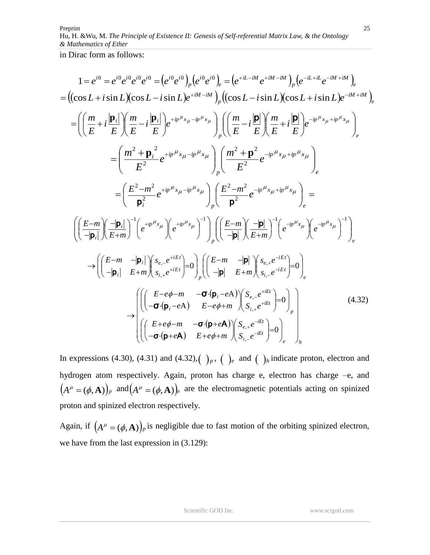in Dirac form as follows:

$$
1 = e^{i0} = e^{i0} e^{i0} e^{i0} = (e^{i0} e^{i0})_p (e^{i0} e^{i0})_e = (e^{+it-iM} e^{+iM-iM})_p (e^{-it+iL} e^{-iM+iM})_e
$$
  
\n
$$
= ((\cos L + i \sin L)(\cos L - i \sin L) e^{+iM-iM})_p ((\cos L - i \sin L)(\cos L + i \sin L) e^{-iM+iM})_e
$$
  
\n
$$
= \left( \frac{m}{E} + i \frac{|\mathbf{p}_i|}{E} \right) \left( \frac{m}{E} - i \frac{|\mathbf{p}_i|}{E} \right) e^{+ip^{\mu}x_{\mu} - ip^{\mu}x_{\mu}} \right)_{p} \left( \frac{m}{E} - i \frac{|\mathbf{p}|}{E} \right) \left( \frac{m}{E} + i \frac{|\mathbf{p}|}{E} \right) e^{-ip^{\mu}x_{\mu} + ip^{\mu}x_{\mu}} \right)_{e}
$$
  
\n
$$
= \left( \frac{m^2 + \mathbf{p}_i^2}{E^2} e^{+ip^{\mu}x_{\mu} - ip^{\mu}x_{\mu}} \right)_{p} \left( \frac{m^2 + \mathbf{p}^2}{E^2} e^{-ip^{\mu}x_{\mu} + ip^{\mu}x_{\mu}} \right)_{e}
$$
  
\n
$$
= \left( \frac{E - m^2}{\mathbf{p}_i^2} e^{+ip^{\mu}x_{\mu} - ip^{\mu}x_{\mu}} \right) \left( \frac{E - m^2}{\mathbf{p}^2} e^{-ip^{\mu}x_{\mu} + ip^{\mu}x_{\mu}} \right)_{e}
$$
  
\n
$$
\left( \left( \frac{E - m}{-|\mathbf{p}_i|} \right) \left( \frac{-|\mathbf{p}_i|}{E + m} \right)^{-1} (e^{+ip^{\mu}x_{\mu}}) e^{-ip^{\mu}x_{\mu}} \right) \left( \frac{E - m}{-|\mathbf{p}|} \left( \frac{-|\mathbf{p}|}{E + m} \right)^{-1} (e^{-ip^{\mu}x_{\mu}}) e^{-ip^{\mu}x_{\mu}} \right)^{-1} \right)_{e}
$$
  
\n
$$
\rightarrow \left( \left( \frac{
$$

In expressions (4.30), (4.31) and (4.32),  $\left(\begin{array}{c} p \end{array}\right)_p$ ,  $\left(\begin{array}{c} p \end{array}\right)_e$  and  $\left(\begin{array}{c} p \end{array}\right)_h$  indicate proton, electron and hydrogen atom respectively. Again, proton has charge e, electron has charge –e, and  $(A^{\mu} = (\phi, \mathbf{A}))_p$  and  $(A^{\mu} = (\phi, \mathbf{A}))_e$  are the electromagnetic potentials acting on spinized proton and spinized electron respectively.

Again, if  $(A^{\mu} = (\phi, \mathbf{A}))_p$  is negligible due to fast motion of the orbiting spinized electron, we have from the last expression in (3.129):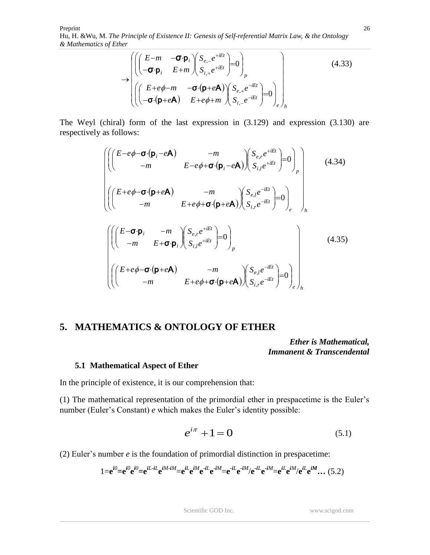$$
\rightarrow \begin{pmatrix}\n\left(\begin{pmatrix} E-m & -\sigma \cdot \mathbf{p}_i \\ -\sigma \cdot \mathbf{p}_i & E+m \end{pmatrix} \begin{pmatrix} S_{e,-}e^{+iEt} \\ S_{i,+}e^{+iEt} \end{pmatrix} = 0 \right)_p \\
\left(\begin{pmatrix} E+e\phi-m & -\sigma \cdot (\mathbf{p}+e\mathbf{A}) \\ -\sigma \cdot (\mathbf{p}+e\mathbf{A}) & E+e\phi+m \end{pmatrix} \begin{pmatrix} S_{e,+}e^{-iEt} \\ S_{i,-}e^{-iEt} \end{pmatrix} = 0 \right)_e\n\end{pmatrix}
$$
\n(4.33)

The Weyl (chiral) form of the last expression in (3.129) and expression (3.130) are respectively as follows:

$$
\begin{pmatrix}\n\left(\n\begin{pmatrix}\nE-e\phi-\sigma\cdot(\mathbf{p}_{i}-e\mathbf{A}) & -m \\
-m & E-e\phi+\sigma\cdot(\mathbf{p}_{i}-e\mathbf{A})\n\end{pmatrix}\n\begin{pmatrix}\nS_{e,r}e^{+iEt} \\
S_{i,l}e^{+iEt}\n\end{pmatrix}=0\n\end{pmatrix}_{p}\n\end{pmatrix}
$$
\n
$$
\begin{pmatrix}\n\left(\n\begin{pmatrix}\nE+e\phi-\sigma\cdot(\mathbf{p}+e\mathbf{A}) & -m \\
-m & E+e\phi+\sigma\cdot(\mathbf{p}+e\mathbf{A})\n\end{pmatrix}\n\begin{pmatrix}\nS_{e,l}e^{-iEt} \\
S_{i,r}e^{-iEt}\n\end{pmatrix}=0\n\end{pmatrix}_{h}
$$
\n
$$
\begin{pmatrix}\n\left(\n\begin{pmatrix}\nE-\sigma\cdot\mathbf{p}_{i} & -m \\
-m & E+\sigma\cdot\mathbf{p}_{i}\n\end{pmatrix}\n\begin{pmatrix}\nS_{e,r}e^{+iEt} \\
S_{i,l}e^{+iEt}\n\end{pmatrix}=0\n\end{pmatrix}_{p}
$$
\n
$$
\begin{pmatrix}\n\left(\n\begin{pmatrix}\nE+e\phi-\sigma\cdot(\mathbf{p}+e\mathbf{A}) & -m \\
-m & E+e\phi+\sigma\cdot(\mathbf{p}+e\mathbf{A})\n\end{pmatrix}\n\begin{pmatrix}\nS_{e,l}e^{-iEt} \\
S_{i,r}e^{-iEt}\n\end{pmatrix}=0\n\end{pmatrix}_{e}\n\end{pmatrix}_{h}
$$
\n(4.35)

# **5. MATHEMATICS & ONTOLOGY OF ETHER**

*Ether is Mathematical, Immanent & Transcendental*

#### **5.1 Mathematical Aspect of Ether**

In the principle of existence, it is our comprehension that:

(1) The mathematical representation of the primordial ether in prespacetime is the Euler's number (Euler's Constant) *e* which makes the Euler's identity possible:

$$
e^{i\pi} + 1 = 0 \tag{5.1}
$$

(2) Euler's number *e* is the foundation of primordial distinction in prespacetime:

$$
1 = e^{i0} = e^{i0} e^{i0} = e^{iL \cdot iL} e^{iM \cdot iM} = e^{iL} e^{iM} e^{-iL} e^{-iM} = e^{iL} e^{-iM} / e^{-iL} e^{-iM} = e^{iL} e^{iM} / e^{iL} e^{iM} \dots (5.2)
$$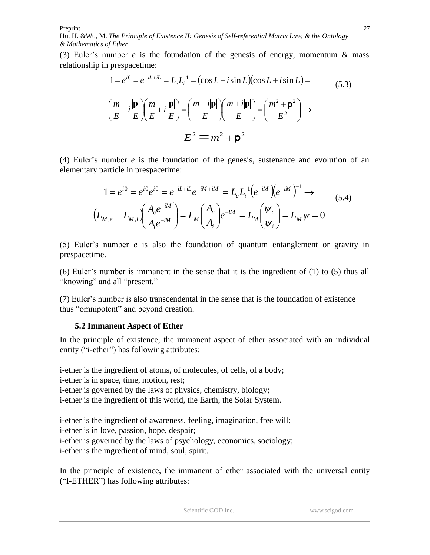(3) Euler's number *e* is the foundation of the genesis of energy, momentum & mass relationship in prespacetime:

$$
1 = e^{i0} = e^{-iL + iL} = L_e L_i^{-1} = (\cos L - i \sin L)(\cos L + i \sin L) =
$$
  
\n
$$
\left(\frac{m}{E} - i\frac{|\mathbf{p}|}{E}\right) \left(\frac{m}{E} + i\frac{|\mathbf{p}|}{E}\right) = \left(\frac{m - i|\mathbf{p}|}{E}\right) \left(\frac{m + i|\mathbf{p}|}{E}\right) = \left(\frac{m^2 + \mathbf{p}^2}{E^2}\right) \rightarrow
$$
  
\n
$$
E^2 = m^2 + \mathbf{p}^2
$$
\n(5.3)

(4) Euler's number *e* is the foundation of the genesis, sustenance and evolution of an elementary particle in prespacetime:

$$
1 = e^{i0} = e^{i0} e^{i0} = e^{-iL + iL} e^{-iM + iM} = L_e L_i^{-1} (e^{-iM}) (e^{-iM})^{-1} \rightarrow
$$
  
\n
$$
(L_{M,e} L_{M,i}) (A_e e^{-iM}) = L_M (A_e) e^{-iM} = L_M (V_e) = L_M \psi = 0
$$
  
\n(5.4)

(5) Euler's number *e* is also the foundation of quantum entanglement or gravity in prespacetime.

(6) Euler's number is immanent in the sense that it is the ingredient of (1) to (5) thus all "knowing" and all "present."

(7) Euler's number is also transcendental in the sense that is the foundation of existence thus "omnipotent" and beyond creation.

## **5.2 Immanent Aspect of Ether**

In the principle of existence, the immanent aspect of ether associated with an individual entity ("i-ether") has following attributes:

i-ether is the ingredient of atoms, of molecules, of cells, of a body; i-ether is in space, time, motion, rest; i-ether is governed by the laws of physics, chemistry, biology; i-ether is the ingredient of this world, the Earth, the Solar System.

i-ether is the ingredient of awareness, feeling, imagination, free will; i-ether is in love, passion, hope, despair; i-ether is governed by the laws of psychology, economics, sociology; i-ether is the ingredient of mind, soul, spirit.

In the principle of existence, the immanent of ether associated with the universal entity ("I-ETHER") has following attributes: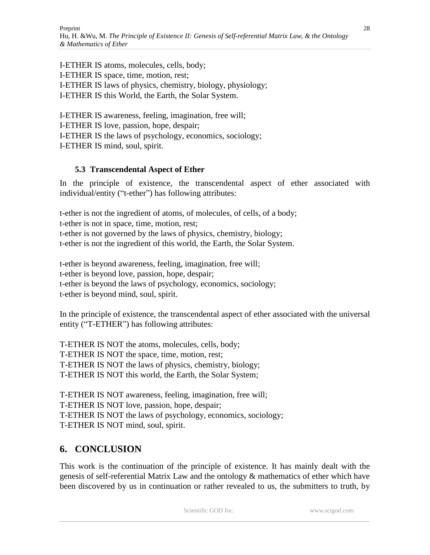I-ETHER IS atoms, molecules, cells, body; I-ETHER IS space, time, motion, rest; I-ETHER IS laws of physics, chemistry, biology, physiology; I-ETHER IS this World, the Earth, the Solar System.

I-ETHER IS awareness, feeling, imagination, free will; I-ETHER IS love, passion, hope, despair; I-ETHER IS the laws of psychology, economics, sociology; I-ETHER IS mind, soul, spirit.

## **5.3 Transcendental Aspect of Ether**

In the principle of existence, the transcendental aspect of ether associated with individual/entity ("t-ether") has following attributes:

t-ether is not the ingredient of atoms, of molecules, of cells, of a body; t-ether is not in space, time, motion, rest; t-ether is not governed by the laws of physics, chemistry, biology; t-ether is not the ingredient of this world, the Earth, the Solar System.

t-ether is beyond awareness, feeling, imagination, free will; t-ether is beyond love, passion, hope, despair; t-ether is beyond the laws of psychology, economics, sociology; t-ether is beyond mind, soul, spirit.

In the principle of existence, the transcendental aspect of ether associated with the universal entity ("T-ETHER") has following attributes:

T-ETHER IS NOT the atoms, molecules, cells, body; T-ETHER IS NOT the space, time, motion, rest; T-ETHER IS NOT the laws of physics, chemistry, biology; T-ETHER IS NOT this world, the Earth, the Solar System;

T-ETHER IS NOT awareness, feeling, imagination, free will; T-ETHER IS NOT love, passion, hope, despair; T-ETHER IS NOT the laws of psychology, economics, sociology; T-ETHER IS NOT mind, soul, spirit.

# **6. CONCLUSION**

This work is the continuation of the principle of existence. It has mainly dealt with the genesis of self-referential Matrix Law and the ontology & mathematics of ether which have been discovered by us in continuation or rather revealed to us, the submitters to truth, by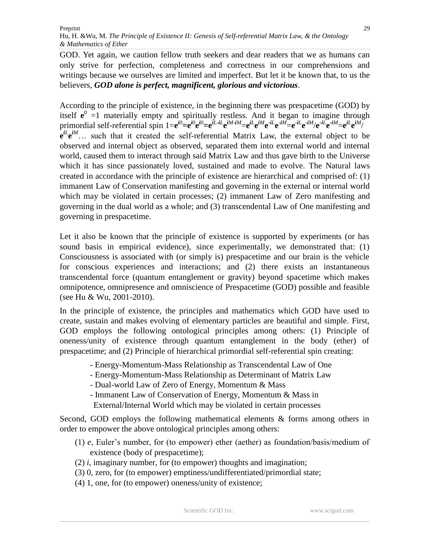GOD. Yet again, we caution fellow truth seekers and dear readers that we as humans can only strive for perfection, completeness and correctness in our comprehensions and writings because we ourselves are limited and imperfect. But let it be known that, to us the believers, *GOD alone is perfect, magnificent, glorious and victorious*.

According to the principle of existence, in the beginning there was prespacetime (GOD) by itself  $e^0$  =1 materially empty and spiritually restless. And it began to imagine through primordial self-referential spin  $1=e^{i0}$ = $e^{i0}$ e $e^{iL}$ -i $L$ e $^{iM-iM}$ = $e^{iL}$ e $^{iM}$ e $^{iL}$ e $^{iM}$ = $e^{iL}$ e $^{iM}$ /e $^{iL}$ e $^{iM}$ = $e^{iL}$ e $^{iM}$ /  $\mathbf{e}^{iL}\mathbf{e}^{iM}$  such that it created the self-referential Matrix Law, the external object to be observed and internal object as observed, separated them into external world and internal world, caused them to interact through said Matrix Law and thus gave birth to the Universe which it has since passionately loved, sustained and made to evolve. The Natural laws created in accordance with the principle of existence are hierarchical and comprised of: (1) immanent Law of Conservation manifesting and governing in the external or internal world which may be violated in certain processes; (2) immanent Law of Zero manifesting and governing in the dual world as a whole; and (3) transcendental Law of One manifesting and governing in prespacetime.

Let it also be known that the principle of existence is supported by experiments (or has sound basis in empirical evidence), since experimentally, we demonstrated that: (1) Consciousness is associated with (or simply is) prespacetime and our brain is the vehicle for conscious experiences and interactions; and (2) there exists an instantaneous transcendental force (quantum entanglement or gravity) beyond spacetime which makes omnipotence, omnipresence and omniscience of Prespacetime (GOD) possible and feasible (see Hu & Wu, 2001-2010).

In the principle of existence, the principles and mathematics which GOD have used to create, sustain and makes evolving of elementary particles are beautiful and simple. First, GOD employs the following ontological principles among others: (1) Principle of oneness/unity of existence through quantum entanglement in the body (ether) of prespacetime; and (2) Principle of hierarchical primordial self-referential spin creating:

- Energy-Momentum-Mass Relationship as Transcendental Law of One
- Energy-Momentum-Mass Relationship as Determinant of Matrix Law
- Dual-world Law of Zero of Energy, Momentum & Mass
- Immanent Law of Conservation of Energy, Momentum & Mass in
- External/Internal World which may be violated in certain processes

Second, GOD employs the following mathematical elements & forms among others in order to empower the above ontological principles among others:

- (1) *e*, Euler's number, for (to empower) ether (aether) as foundation/basis/medium of existence (body of prespacetime);
- (2) *i*, imaginary number, for (to empower) thoughts and imagination;
- (3) 0, zero, for (to empower) emptiness/undifferentiated/primordial state;
- (4) 1, one, for (to empower) oneness/unity of existence;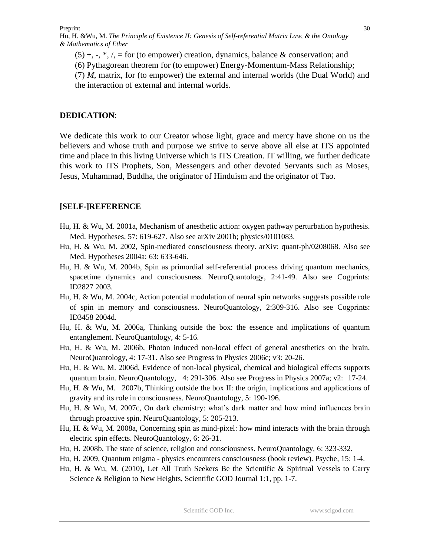$(5)$  +, -, \*,  $\ell$ , = for (to empower) creation, dynamics, balance & conservation; and

(6) Pythagorean theorem for (to empower) Energy-Momentum-Mass Relationship;

(7) *M*, matrix, for (to empower) the external and internal worlds (the Dual World) and the interaction of external and internal worlds.

## **DEDICATION**:

We dedicate this work to our Creator whose light, grace and mercy have shone on us the believers and whose truth and purpose we strive to serve above all else at ITS appointed time and place in this living Universe which is ITS Creation. IT willing, we further dedicate this work to ITS Prophets, Son, Messengers and other devoted Servants such as Moses, Jesus, Muhammad, Buddha, the originator of Hinduism and the originator of Tao.

# **[SELF-]REFERENCE**

- Hu, H. & Wu, M. 2001a, Mechanism of anesthetic action: oxygen pathway perturbation hypothesis. Med. Hypotheses, 57: 619-627. Also see arXiv 2001b; physics/0101083.
- Hu, H. & Wu, M. 2002, Spin-mediated consciousness theory. arXiv: quant-ph/0208068. Also see Med. Hypotheses 2004a: 63: 633-646.
- Hu, H. & Wu, M. 2004b, Spin as primordial self-referential process driving quantum mechanics, spacetime dynamics and consciousness. NeuroQuantology, 2:41-49. Also see Cogprints: ID2827 2003.
- Hu, H. & Wu, M. 2004c, Action potential modulation of neural spin networks suggests possible role of spin in memory and consciousness. NeuroQuantology, 2:309-316. Also see Cogprints: ID3458 2004d.
- Hu, H. & Wu, M. 2006a, Thinking outside the box: the essence and implications of quantum entanglement. NeuroQuantology, 4: 5-16.
- Hu, H. & Wu, M. 2006b, Photon induced non-local effect of general anesthetics on the brain. NeuroQuantology, 4: 17-31. Also see Progress in Physics 2006c; v3: 20-26.
- Hu, H. & Wu, M. 2006d, Evidence of non-local physical, chemical and biological effects supports quantum brain. NeuroQuantology, 4: 291-306. Also see Progress in Physics 2007a; v2: 17-24.
- Hu, H. & Wu, M. 2007b, Thinking outside the box II: the origin, implications and applications of gravity and its role in consciousness. NeuroQuantology, 5: 190-196.
- Hu, H. & Wu, M. 2007c, On dark chemistry: what's dark matter and how mind influences brain through proactive spin. NeuroQuantology, 5: 205-213.
- Hu, H. & Wu, M. 2008a, Concerning spin as mind-pixel: how mind interacts with the brain through electric spin effects. NeuroQuantology, 6: 26-31.
- Hu, H. 2008b, The state of science, religion and consciousness. NeuroQuantology, 6: 323-332.
- Hu, H. 2009, Quantum enigma physics encounters consciousness (book review). Psyche, 15: 1-4.
- Hu, H. & Wu, M. (2010), Let All Truth Seekers Be the Scientific & Spiritual Vessels to Carry Science & Religion to New Heights, Scientific GOD Journal 1:1, pp. 1-7.